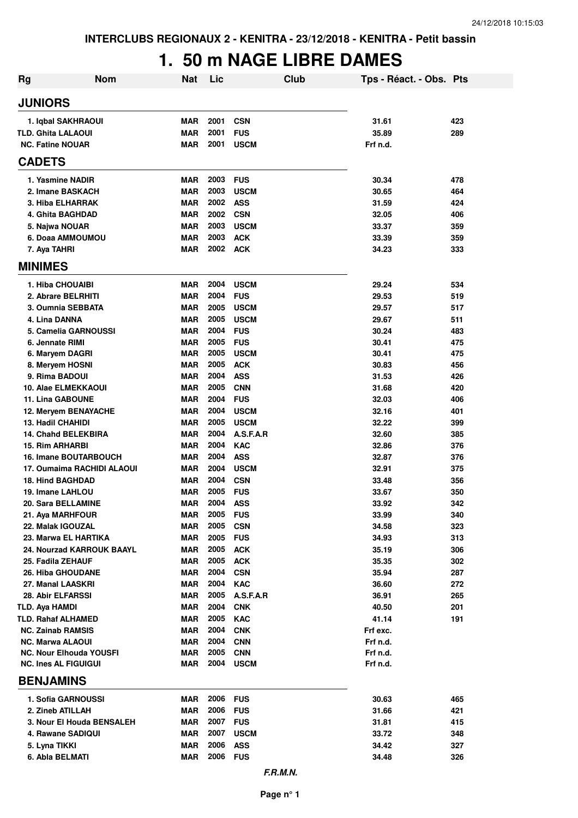### **1. 50 m NAGE LIBRE DAMES**

| Rg                                            | <b>Nom</b>                 | <b>Nat</b>               | Lic          | <b>Club</b>              | Tps - Réact. - Obs. Pts |            |
|-----------------------------------------------|----------------------------|--------------------------|--------------|--------------------------|-------------------------|------------|
| <b>JUNIORS</b>                                |                            |                          |              |                          |                         |            |
| 1. Iqbal SAKHRAOUI                            |                            | <b>MAR</b>               | 2001         | <b>CSN</b>               | 31.61                   | 423        |
| <b>TLD. Ghita LALAOUI</b>                     |                            | <b>MAR</b>               | 2001         | <b>FUS</b>               | 35.89                   | 289        |
| <b>NC. Fatine NOUAR</b>                       |                            | <b>MAR</b>               | 2001         | <b>USCM</b>              | Frf n.d.                |            |
| <b>CADETS</b>                                 |                            |                          |              |                          |                         |            |
| 1. Yasmine NADIR                              |                            | <b>MAR</b>               | 2003         | <b>FUS</b>               | 30.34                   | 478        |
| 2. Imane BASKACH                              |                            | <b>MAR</b>               | 2003         | <b>USCM</b>              | 30.65                   | 464        |
| 3. Hiba ELHARRAK                              |                            | <b>MAR</b>               | 2002         | <b>ASS</b>               | 31.59                   | 424        |
| 4. Ghita BAGHDAD                              |                            | <b>MAR</b>               | 2002         | <b>CSN</b>               | 32.05                   | 406        |
| 5. Najwa NOUAR                                |                            | <b>MAR</b>               | 2003         | <b>USCM</b>              | 33.37                   | 359        |
| 6. Doaa AMMOUMOU                              |                            | <b>MAR</b>               | 2003         | <b>ACK</b>               | 33.39                   | 359        |
| 7. Aya TAHRI                                  |                            | <b>MAR</b>               | 2002         | <b>ACK</b>               | 34.23                   | 333        |
| <b>MINIMES</b>                                |                            |                          |              |                          |                         |            |
| 1. Hiba CHOUAIBI                              |                            | <b>MAR</b>               | 2004         | <b>USCM</b>              | 29.24                   | 534        |
| 2. Abrare BELRHITI                            |                            | <b>MAR</b>               | 2004         | <b>FUS</b>               | 29.53                   | 519        |
| 3. Oumnia SEBBATA                             |                            | <b>MAR</b>               | 2005         | <b>USCM</b>              | 29.57                   | 517        |
| 4. Lina DANNA                                 |                            | <b>MAR</b>               | 2005<br>2004 | <b>USCM</b>              | 29.67                   | 511        |
| 5. Camelia GARNOUSSI<br>6. Jennate RIMI       |                            | <b>MAR</b><br><b>MAR</b> | 2005         | <b>FUS</b><br><b>FUS</b> | 30.24<br>30.41          | 483<br>475 |
| 6. Maryem DAGRI                               |                            | <b>MAR</b>               | 2005         | <b>USCM</b>              | 30.41                   | 475        |
| 8. Meryem HOSNI                               |                            | <b>MAR</b>               | 2005         | <b>ACK</b>               | 30.83                   | 456        |
| 9. Rima BADOUI                                |                            | <b>MAR</b>               | 2004         | <b>ASS</b>               | 31.53                   | 426        |
| 10. Alae ELMEKKAOUI                           |                            | <b>MAR</b>               | 2005         | <b>CNN</b>               | 31.68                   | 420        |
| 11. Lina GABOUNE                              |                            | <b>MAR</b>               | 2004         | <b>FUS</b>               | 32.03                   | 406        |
| 12. Meryem BENAYACHE                          |                            | <b>MAR</b>               | 2004         | <b>USCM</b>              | 32.16                   | 401        |
| <b>13. Hadil CHAHIDI</b>                      |                            | <b>MAR</b>               | 2005         | <b>USCM</b>              | 32.22                   | 399        |
| <b>14. Chahd BELEKBIRA</b>                    |                            | <b>MAR</b>               | 2004         | A.S.F.A.R                | 32.60                   | 385        |
| <b>15. Rim ARHARBI</b>                        |                            | <b>MAR</b>               | 2004         | <b>KAC</b>               | 32.86                   | 376        |
| <b>16. Imane BOUTARBOUCH</b>                  |                            | <b>MAR</b>               | 2004         | <b>ASS</b>               | 32.87                   | 376        |
|                                               | 17. Oumaima RACHIDI ALAOUI | <b>MAR</b>               | 2004         | <b>USCM</b>              | 32.91                   | 375        |
| <b>18. Hind BAGHDAD</b>                       |                            | MAR                      | 2004         | <b>CSN</b>               | 33.48                   | 356        |
| 19. Imane LAHLOU                              |                            | <b>MAR</b>               | 2005         | <b>FUS</b>               | 33.67                   | 350        |
| <b>20. Sara BELLAMINE</b>                     |                            | <b>MAR</b>               | 2004         | <b>ASS</b>               | 33.92                   | 342        |
| 21. Aya MARHFOUR                              |                            | MAR                      | 2005         | <b>FUS</b>               | 33.99                   | 340        |
| 22. Malak IGOUZAL                             |                            | <b>MAR</b>               | 2005         | <b>CSN</b>               | 34.58                   | 323        |
| 23. Marwa EL HARTIKA                          |                            | <b>MAR</b>               | 2005         | <b>FUS</b>               | 34.93                   | 313        |
|                                               | 24. Nourzad KARROUK BAAYL  | <b>MAR</b>               | 2005         | <b>ACK</b>               | 35.19                   | 306        |
| 25. Fadila ZEHAUF<br><b>26. Hiba GHOUDANE</b> |                            | <b>MAR</b><br>MAR        | 2005<br>2004 | <b>ACK</b><br><b>CSN</b> | 35.35<br>35.94          | 302<br>287 |
| 27. Manal LAASKRI                             |                            | MAR                      | 2004         | <b>KAC</b>               | 36.60                   | 272        |
| 28. Abir ELFARSSI                             |                            | MAR                      | 2005         | A.S.F.A.R                | 36.91                   | 265        |
| TLD. Aya HAMDI                                |                            | MAR                      | 2004         | <b>CNK</b>               | 40.50                   | 201        |
| <b>TLD. Rahaf ALHAMED</b>                     |                            | MAR                      | 2005         | <b>KAC</b>               | 41.14                   | 191        |
| <b>NC. Zainab RAMSIS</b>                      |                            | <b>MAR</b>               | 2004         | <b>CNK</b>               | Frf exc.                |            |
| <b>NC. Marwa ALAOUI</b>                       |                            | MAR                      | 2004         | <b>CNN</b>               | Frf n.d.                |            |
| <b>NC. Nour Elhouda YOUSFI</b>                |                            | MAR                      | 2005         | <b>CNN</b>               | Frf n.d.                |            |
| <b>NC. Ines AL FIGUIGUI</b>                   |                            | MAR                      | 2004         | <b>USCM</b>              | Frf n.d.                |            |
| <b>BENJAMINS</b>                              |                            |                          |              |                          |                         |            |
| 1. Sofia GARNOUSSI                            |                            | MAR                      | 2006         | <b>FUS</b>               | 30.63                   | 465        |
| 2. Zineb ATILLAH                              |                            | MAR                      | 2006         | <b>FUS</b>               | 31.66                   | 421        |
|                                               | 3. Nour El Houda BENSALEH  | <b>MAR</b>               | 2007 FUS     |                          | 31.81                   | 415        |
| 4. Rawane SADIQUI                             |                            | <b>MAR</b>               | 2007         | <b>USCM</b>              | 33.72                   | 348        |
| 5. Lyna TIKKI                                 |                            | <b>MAR</b>               | 2006         | <b>ASS</b>               | 34.42                   | 327        |
| 6. Abla BELMATI                               |                            | MAR                      | 2006 FUS     |                          | 34.48                   | 326        |
|                                               |                            |                          |              | F.R.M.N.                 |                         |            |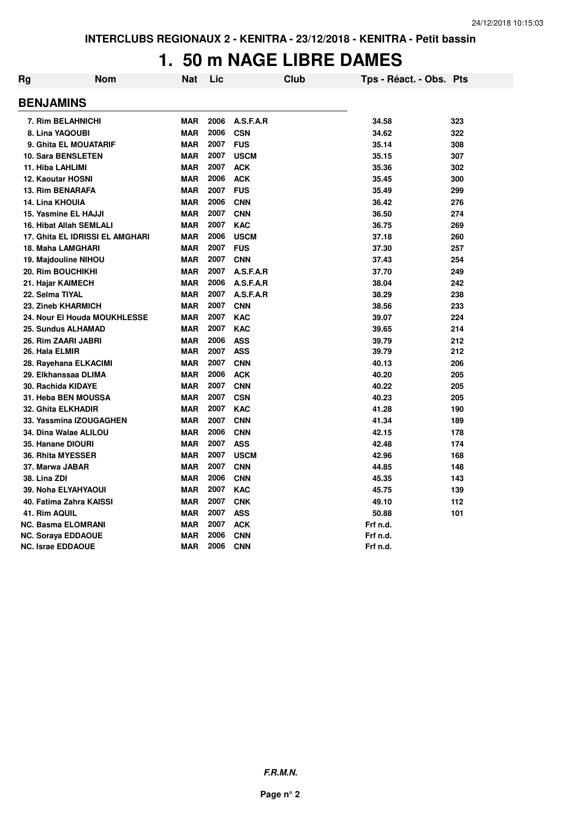#### **1. 50 m NAGE LIBRE DAMES**

| Rg | <b>Nom</b>                      | Nat        | Lic  | <b>Club</b> | Tps - Réact. - Obs. Pts |     |
|----|---------------------------------|------------|------|-------------|-------------------------|-----|
|    | <b>BENJAMINS</b>                |            |      |             |                         |     |
|    | 7. Rim BELAHNICHI               | <b>MAR</b> | 2006 | A.S.F.A.R   | 34.58                   | 323 |
|    | 8. Lina YAQOUBI                 | <b>MAR</b> | 2006 | <b>CSN</b>  | 34.62                   | 322 |
|    | 9. Ghita EL MOUATARIF           | <b>MAR</b> | 2007 | <b>FUS</b>  | 35.14                   | 308 |
|    | <b>10. Sara BENSLETEN</b>       | <b>MAR</b> | 2007 | <b>USCM</b> | 35.15                   | 307 |
|    | 11. Hiba LAHLIMI                | <b>MAR</b> | 2007 | <b>ACK</b>  | 35.36                   | 302 |
|    | <b>12. Kaoutar HOSNI</b>        | <b>MAR</b> | 2006 | <b>ACK</b>  | 35.45                   | 300 |
|    | <b>13. Rim BENARAFA</b>         | <b>MAR</b> | 2007 | <b>FUS</b>  | 35.49                   | 299 |
|    | <b>14. Lina KHOUIA</b>          | <b>MAR</b> | 2006 | <b>CNN</b>  | 36.42                   | 276 |
|    | 15. Yasmine EL HAJJI            | <b>MAR</b> | 2007 | <b>CNN</b>  | 36.50                   | 274 |
|    | 16. Hibat Allah SEMLALI         | <b>MAR</b> | 2007 | <b>KAC</b>  | 36.75                   | 269 |
|    | 17. Ghita EL IDRISSI EL AMGHARI | <b>MAR</b> | 2006 | <b>USCM</b> | 37.18                   | 260 |
|    | 18. Maha LAMGHARI               | <b>MAR</b> | 2007 | <b>FUS</b>  | 37.30                   | 257 |
|    | 19. Majdouline NIHOU            | <b>MAR</b> | 2007 | <b>CNN</b>  | 37.43                   | 254 |
|    | 20. Rim BOUCHIKHI               | <b>MAR</b> | 2007 | A.S.F.A.R   | 37.70                   | 249 |
|    | 21. Hajar KAIMECH               | <b>MAR</b> | 2006 | A.S.F.A.R   | 38.04                   | 242 |
|    | 22. Selma TIYAL                 | <b>MAR</b> | 2007 | A.S.F.A.R   | 38.29                   | 238 |
|    | 23. Zineb KHARMICH              | <b>MAR</b> | 2007 | <b>CNN</b>  | 38.56                   | 233 |
|    | 24. Nour El Houda MOUKHLESSE    | <b>MAR</b> | 2007 | <b>KAC</b>  | 39.07                   | 224 |
|    | 25. Sundus ALHAMAD              | <b>MAR</b> | 2007 | <b>KAC</b>  | 39.65                   | 214 |
|    | 26. Rim ZAARI JABRI             | <b>MAR</b> | 2006 | <b>ASS</b>  | 39.79                   | 212 |
|    | 26. Hala ELMIR                  | <b>MAR</b> | 2007 | <b>ASS</b>  | 39.79                   | 212 |
|    | 28. Rayehana ELKACIMI           | <b>MAR</b> | 2007 | <b>CNN</b>  | 40.13                   | 206 |
|    | 29. Elkhanssaa DLIMA            | <b>MAR</b> | 2006 | <b>ACK</b>  | 40.20                   | 205 |
|    | 30. Rachida KIDAYE              | <b>MAR</b> | 2007 | <b>CNN</b>  | 40.22                   | 205 |
|    | 31. Heba BEN MOUSSA             | <b>MAR</b> | 2007 | <b>CSN</b>  | 40.23                   | 205 |
|    | 32. Ghita ELKHADIR              | <b>MAR</b> | 2007 | <b>KAC</b>  | 41.28                   | 190 |
|    | 33. Yassmina IZOUGAGHEN         | <b>MAR</b> | 2007 | <b>CNN</b>  | 41.34                   | 189 |
|    | 34. Dina Walae ALILOU           | <b>MAR</b> | 2006 | <b>CNN</b>  | 42.15                   | 178 |
|    | 35. Hanane DIOURI               | <b>MAR</b> | 2007 | <b>ASS</b>  | 42.48                   | 174 |
|    | <b>36. Rhita MYESSER</b>        | <b>MAR</b> | 2007 | <b>USCM</b> | 42.96                   | 168 |
|    | 37. Marwa JABAR                 | <b>MAR</b> | 2007 | <b>CNN</b>  | 44.85                   | 148 |
|    | 38. Lina ZDI                    | <b>MAR</b> | 2006 | <b>CNN</b>  | 45.35                   | 143 |
|    | 39. Noha ELYAHYAOUI             | <b>MAR</b> | 2007 | <b>KAC</b>  | 45.75                   | 139 |
|    | 40. Fatima Zahra KAISSI         | <b>MAR</b> | 2007 | <b>CNK</b>  | 49.10                   | 112 |
|    | 41. Rim AQUIL                   | <b>MAR</b> | 2007 | <b>ASS</b>  | 50.88                   | 101 |
|    | <b>NC. Basma ELOMRANI</b>       | <b>MAR</b> | 2007 | <b>ACK</b>  | Frf n.d.                |     |
|    | <b>NC. Soraya EDDAOUE</b>       | <b>MAR</b> | 2006 | <b>CNN</b>  | Frf n.d.                |     |
|    | <b>NC. Israe EDDAOUE</b>        | <b>MAR</b> | 2006 | <b>CNN</b>  | Frf n.d.                |     |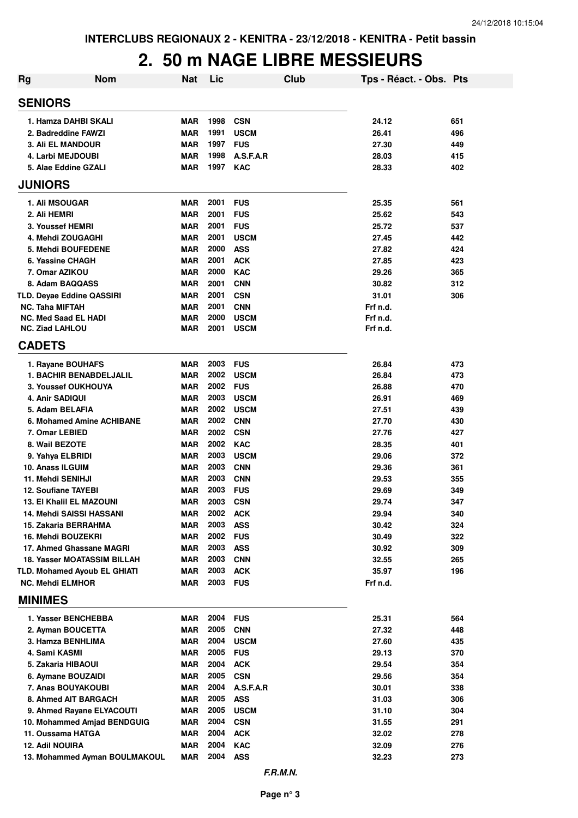#### **2. 50 m NAGE LIBRE MESSIEURS**

| <b>Rg</b> | <b>Nom</b>                                                         | <b>Nat</b> | Lic          | <b>Club</b>              | Tps - Réact. - Obs. Pts |            |
|-----------|--------------------------------------------------------------------|------------|--------------|--------------------------|-------------------------|------------|
|           | <b>SENIORS</b>                                                     |            |              |                          |                         |            |
|           | 1. Hamza DAHBI SKALI                                               | <b>MAR</b> | 1998         | <b>CSN</b>               | 24.12                   | 651        |
|           | 2. Badreddine FAWZI                                                | <b>MAR</b> | 1991         | <b>USCM</b>              | 26.41                   | 496        |
|           | <b>3. Ali EL MANDOUR</b>                                           | <b>MAR</b> | 1997         | <b>FUS</b>               | 27.30                   | 449        |
|           | 4. Larbi MEJDOUBI                                                  | <b>MAR</b> | 1998         | A.S.F.A.R                | 28.03                   | 415        |
|           | 5. Alae Eddine GZALI                                               | <b>MAR</b> | 1997         | <b>KAC</b>               | 28.33                   | 402        |
|           | <b>JUNIORS</b>                                                     |            |              |                          |                         |            |
|           | 1. Ali MSOUGAR                                                     | <b>MAR</b> | 2001         | <b>FUS</b>               | 25.35                   | 561        |
|           | 2. Ali HEMRI                                                       | <b>MAR</b> | 2001         | <b>FUS</b>               | 25.62                   | 543        |
|           | 3. Youssef HEMRI                                                   | <b>MAR</b> | 2001         | <b>FUS</b>               | 25.72                   | 537        |
|           | 4. Mehdi ZOUGAGHI                                                  | <b>MAR</b> | 2001         | <b>USCM</b>              | 27.45                   | 442        |
|           | 5. Mehdi BOUFEDENE                                                 | <b>MAR</b> | 2000         | <b>ASS</b>               | 27.82                   | 424        |
|           | 6. Yassine CHAGH                                                   | <b>MAR</b> | 2001         | <b>ACK</b>               | 27.85                   | 423        |
|           | 7. Omar AZIKOU                                                     | <b>MAR</b> | 2000         | <b>KAC</b>               | 29.26                   | 365        |
|           | 8. Adam BAQQASS                                                    | <b>MAR</b> | 2001         | <b>CNN</b>               | 30.82                   | 312        |
|           | TLD. Deyae Eddine QASSIRI                                          | <b>MAR</b> | 2001         | <b>CSN</b>               | 31.01                   | 306        |
|           | <b>NC. Taha MIFTAH</b>                                             | <b>MAR</b> | 2001         | <b>CNN</b>               | Frf n.d.                |            |
|           | <b>NC. Med Saad EL HADI</b>                                        | <b>MAR</b> | 2000<br>2001 | <b>USCM</b>              | Frf n.d.                |            |
|           | <b>NC. Ziad LAHLOU</b><br><b>CADETS</b>                            | <b>MAR</b> |              | <b>USCM</b>              | Frf n.d.                |            |
|           | 1. Rayane BOUHAFS                                                  | <b>MAR</b> | 2003         | <b>FUS</b>               | 26.84                   | 473        |
|           | <b>1. BACHIR BENABDELJALIL</b>                                     | <b>MAR</b> | 2002         | <b>USCM</b>              | 26.84                   | 473        |
|           | 3. Youssef OUKHOUYA                                                | <b>MAR</b> | 2002         | <b>FUS</b>               | 26.88                   | 470        |
|           | 4. Anir SADIQUI                                                    | MAR        | 2003         | <b>USCM</b>              | 26.91                   | 469        |
|           | 5. Adam BELAFIA                                                    | <b>MAR</b> | 2002         | <b>USCM</b>              | 27.51                   | 439        |
|           | 6. Mohamed Amine ACHIBANE                                          | <b>MAR</b> | 2002         | <b>CNN</b>               | 27.70                   | 430        |
|           | 7. Omar LEBIED                                                     | <b>MAR</b> | 2002         | <b>CSN</b>               | 27.76                   | 427        |
|           | 8. Wail BEZOTE                                                     | <b>MAR</b> | 2002         | <b>KAC</b>               | 28.35                   | 401        |
|           | 9. Yahya ELBRIDI                                                   | <b>MAR</b> | 2003         | <b>USCM</b>              | 29.06                   | 372        |
|           | 10. Anass ILGUIM                                                   | <b>MAR</b> | 2003         | <b>CNN</b>               | 29.36                   | 361        |
|           | 11. Mehdi SENIHJI                                                  | <b>MAR</b> | 2003         | <b>CNN</b>               | 29.53                   | 355        |
|           | <b>12. Soufiane TAYEBI</b>                                         | <b>MAR</b> | 2003         | <b>FUS</b>               | 29.69                   | 349        |
|           | <b>13. El Khalil EL MAZOUNI</b>                                    | <b>MAR</b> | 2003         | <b>CSN</b>               | 29.74                   | 347        |
|           | 14. Mehdi SAISSI HASSANI                                           | <b>MAR</b> | 2002         | <b>ACK</b>               | 29.94                   | 340        |
|           | 15. Zakaria BERRAHMA                                               | MAR        | 2003         | <b>ASS</b>               | 30.42                   | 324        |
|           | 16. Mehdi BOUZEKRI                                                 | MAR        | 2002         | <b>FUS</b>               | 30.49                   | 322        |
|           | 17. Ahmed Ghassane MAGRI                                           | MAR        | 2003<br>2003 | <b>ASS</b>               | 30.92                   | 309        |
|           | <b>18. Yasser MOATASSIM BILLAH</b><br>TLD. Mohamed Ayoub EL GHIATI | MAR<br>MAR | 2003         | <b>CNN</b><br><b>ACK</b> | 32.55<br>35.97          | 265<br>196 |
|           | <b>NC. Mehdi ELMHOR</b>                                            | MAR        | 2003         | <b>FUS</b>               | Frf n.d.                |            |
|           | <b>MINIMES</b>                                                     |            |              |                          |                         |            |
|           | 1. Yasser BENCHEBBA                                                | MAR        | 2004         | <b>FUS</b>               | 25.31                   | 564        |
|           | 2. Ayman BOUCETTA                                                  | MAR        | 2005         | <b>CNN</b>               | 27.32                   | 448        |
|           | 3. Hamza BENHLIMA                                                  | MAR        | 2004         | <b>USCM</b>              | 27.60                   | 435        |
|           | 4. Sami KASMI                                                      | <b>MAR</b> | 2005         | <b>FUS</b>               | 29.13                   | 370        |
|           | 5. Zakaria HIBAOUI                                                 | <b>MAR</b> | 2004         | <b>ACK</b>               | 29.54                   | 354        |
|           | 6. Aymane BOUZAIDI                                                 | MAR        | 2005         | <b>CSN</b>               | 29.56                   | 354        |
|           | 7. Anas BOUYAKOUBI                                                 | MAR        | 2004         | A.S.F.A.R                | 30.01                   | 338        |
|           | 8. Ahmed AIT BARGACH                                               | <b>MAR</b> | 2005         | <b>ASS</b>               | 31.03                   | 306        |
|           | 9. Ahmed Rayane ELYACOUTI                                          | MAR        | 2005         | <b>USCM</b>              | 31.10                   | 304        |
|           | 10. Mohammed Amjad BENDGUIG                                        | MAR        | 2004         | <b>CSN</b>               | 31.55                   | 291        |
|           | 11. Oussama HATGA                                                  | MAR        | 2004         | <b>ACK</b>               | 32.02                   | 278        |
|           | 12. Adil NOUIRA                                                    | <b>MAR</b> | 2004<br>2004 | <b>KAC</b>               | 32.09                   | 276        |
|           | 13. Mohammed Ayman BOULMAKOUL                                      | MAR        |              | <b>ASS</b>               | 32.23                   | 273        |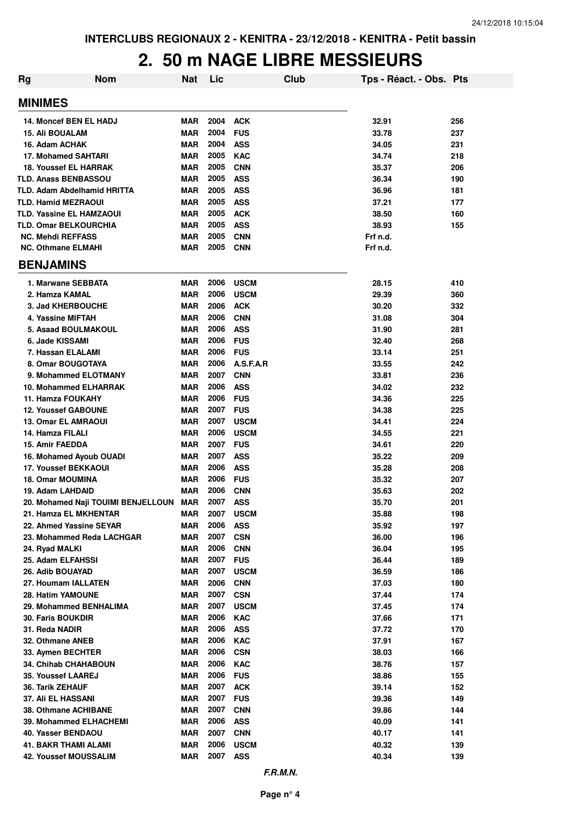#### **2. 50 m NAGE LIBRE MESSIEURS**

| <b>Rg</b><br><b>Nom</b>            | <b>Nat</b> | Lic  | Club        | Tps - Réact. - Obs. Pts |     |
|------------------------------------|------------|------|-------------|-------------------------|-----|
| <b>MINIMES</b>                     |            |      |             |                         |     |
| 14. Moncef BEN EL HADJ             | <b>MAR</b> | 2004 | <b>ACK</b>  | 32.91                   | 256 |
| <b>15. Ali BOUALAM</b>             | <b>MAR</b> | 2004 | <b>FUS</b>  | 33.78                   | 237 |
| 16. Adam ACHAK                     | <b>MAR</b> | 2004 | <b>ASS</b>  | 34.05                   | 231 |
| <b>17. Mohamed SAHTARI</b>         | <b>MAR</b> | 2005 | <b>KAC</b>  | 34.74                   | 218 |
| <b>18. Youssef EL HARRAK</b>       | <b>MAR</b> | 2005 | <b>CNN</b>  | 35.37                   | 206 |
| <b>TLD. Anass BENBASSOU</b>        | <b>MAR</b> | 2005 | <b>ASS</b>  | 36.34                   | 190 |
| <b>TLD. Adam Abdelhamid HRITTA</b> | <b>MAR</b> | 2005 | <b>ASS</b>  | 36.96                   | 181 |
| <b>TLD. Hamid MEZRAOUI</b>         | <b>MAR</b> | 2005 | <b>ASS</b>  | 37.21                   | 177 |
| <b>TLD. Yassine EL HAMZAOUI</b>    | <b>MAR</b> | 2005 | <b>ACK</b>  | 38.50                   | 160 |
| <b>TLD. Omar BELKOURCHIA</b>       | <b>MAR</b> | 2005 | <b>ASS</b>  | 38.93                   | 155 |
| <b>NC. Mehdi REFFASS</b>           | <b>MAR</b> | 2005 | <b>CNN</b>  | Frf n.d.                |     |
| <b>NC. Othmane ELMAHI</b>          | <b>MAR</b> | 2005 | <b>CNN</b>  | Frf n.d.                |     |
| <b>BENJAMINS</b>                   |            |      |             |                         |     |
| 1. Marwane SEBBATA                 | <b>MAR</b> | 2006 | <b>USCM</b> | 28.15                   | 410 |
| 2. Hamza KAMAL                     | <b>MAR</b> | 2006 | <b>USCM</b> | 29.39                   | 360 |
| 3. Jad KHERBOUCHE                  | <b>MAR</b> | 2006 | <b>ACK</b>  | 30.20                   | 332 |
| 4. Yassine MIFTAH                  | <b>MAR</b> | 2006 | <b>CNN</b>  | 31.08                   | 304 |
| 5. Asaad BOULMAKOUL                | <b>MAR</b> | 2006 | <b>ASS</b>  | 31.90                   | 281 |
| 6. Jade KISSAMI                    | <b>MAR</b> | 2006 | <b>FUS</b>  | 32.40                   | 268 |
| 7. Hassan ELALAMI                  | <b>MAR</b> | 2006 | <b>FUS</b>  | 33.14                   | 251 |
| 8. Omar BOUGOTAYA                  | <b>MAR</b> | 2006 | A.S.F.A.R   | 33.55                   | 242 |
| 9. Mohammed ELOTMANY               | <b>MAR</b> | 2007 | <b>CNN</b>  | 33.81                   | 236 |
| 10. Mohammed ELHARRAK              | <b>MAR</b> | 2006 | <b>ASS</b>  | 34.02                   | 232 |
| 11. Hamza FOUKAHY                  | <b>MAR</b> | 2006 | <b>FUS</b>  | 34.36                   | 225 |
| <b>12. Youssef GABOUNE</b>         | <b>MAR</b> | 2007 | <b>FUS</b>  | 34.38                   | 225 |
| <b>13. Omar EL AMRAOUI</b>         | <b>MAR</b> | 2007 | <b>USCM</b> | 34.41                   | 224 |
| 14. Hamza FILALI                   | <b>MAR</b> | 2006 | <b>USCM</b> | 34.55                   | 221 |
| 15. Amir FAEDDA                    | <b>MAR</b> | 2007 | <b>FUS</b>  | 34.61                   | 220 |
| 16. Mohamed Ayoub OUADI            | <b>MAR</b> | 2007 | <b>ASS</b>  | 35.22                   | 209 |
| <b>17. Youssef BEKKAOUI</b>        | <b>MAR</b> | 2006 | <b>ASS</b>  | 35.28                   | 208 |
| 18. Omar MOUMINA                   | <b>MAR</b> | 2006 | <b>FUS</b>  | 35.32                   | 207 |
| 19. Adam LAHDAID                   | <b>MAR</b> | 2006 | <b>CNN</b>  | 35.63                   | 202 |
| 20. Mohamed Naji TOUIMI BENJELLOUN | <b>MAR</b> | 2007 | <b>ASS</b>  | 35.70                   | 201 |
| 21. Hamza EL MKHENTAR              | MAR        | 2007 | <b>USCM</b> | 35.88                   | 198 |
| 22. Ahmed Yassine SEYAR            | <b>MAR</b> | 2006 | <b>ASS</b>  | 35.92                   | 197 |
| 23. Mohammed Reda LACHGAR          | MAR        | 2007 | <b>CSN</b>  | 36.00                   | 196 |
| 24. Ryad MALKI                     | <b>MAR</b> | 2006 | <b>CNN</b>  | 36.04                   | 195 |
| 25. Adam ELFAHSSI                  | MAR        | 2007 | <b>FUS</b>  | 36.44                   | 189 |
| 26. Adib BOUAYAD                   | MAR        | 2007 | <b>USCM</b> | 36.59                   | 186 |
| 27. Houmam IALLATEN                | <b>MAR</b> | 2006 | <b>CNN</b>  | 37.03                   | 180 |
| <b>28. Hatim YAMOUNE</b>           | <b>MAR</b> | 2007 | <b>CSN</b>  | 37.44                   | 174 |
| 29. Mohammed BENHALIMA             | <b>MAR</b> | 2007 | <b>USCM</b> | 37.45                   | 174 |
| <b>30. Faris BOUKDIR</b>           | <b>MAR</b> | 2006 | <b>KAC</b>  | 37.66                   | 171 |
| 31. Reda NADIR                     | <b>MAR</b> | 2006 | <b>ASS</b>  | 37.72                   | 170 |
| 32. Othmane ANEB                   | <b>MAR</b> | 2006 | <b>KAC</b>  | 37.91                   | 167 |
| 33. Aymen BECHTER                  | <b>MAR</b> | 2006 | <b>CSN</b>  | 38.03                   | 166 |
| <b>34. Chihab CHAHABOUN</b>        | <b>MAR</b> | 2006 | <b>KAC</b>  | 38.76                   | 157 |
| <b>35. Youssef LAAREJ</b>          | <b>MAR</b> | 2006 | <b>FUS</b>  | 38.86                   | 155 |
| 36. Tarik ZEHAUF                   | <b>MAR</b> | 2007 | <b>ACK</b>  | 39.14                   | 152 |
| <b>37. Ali EL HASSANI</b>          | <b>MAR</b> | 2007 | <b>FUS</b>  | 39.36                   | 149 |
| 38. Othmane ACHIBANE               | <b>MAR</b> | 2007 | <b>CNN</b>  | 39.86                   | 144 |
| 39. Mohammed ELHACHEMI             | <b>MAR</b> | 2006 | <b>ASS</b>  | 40.09                   | 141 |
| 40. Yasser BENDAOU                 | <b>MAR</b> | 2007 | <b>CNN</b>  | 40.17                   | 141 |
| <b>41. BAKR THAMI ALAMI</b>        | <b>MAR</b> | 2006 | <b>USCM</b> | 40.32                   | 139 |
| <b>42. Youssef MOUSSALIM</b>       | <b>MAR</b> | 2007 | <b>ASS</b>  | 40.34                   | 139 |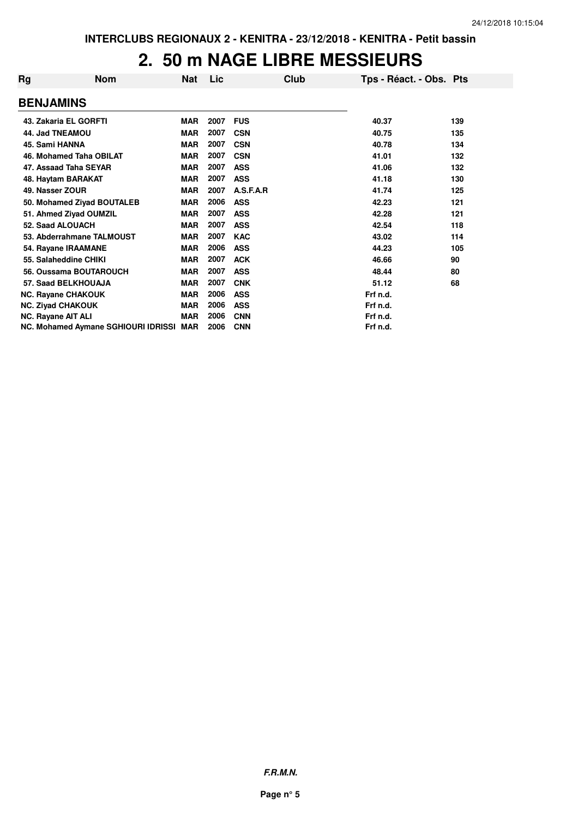#### **2. 50 m NAGE LIBRE MESSIEURS**

| Rg                 | <b>Nom</b>                              | Nat        | Lic  |            | Club | Tps - Réact. - Obs. Pts |     |
|--------------------|-----------------------------------------|------------|------|------------|------|-------------------------|-----|
| <b>BENJAMINS</b>   |                                         |            |      |            |      |                         |     |
|                    | 43. Zakaria EL GORFTI                   | <b>MAR</b> | 2007 | <b>FUS</b> |      | 40.37                   | 139 |
| 44. Jad TNEAMOU    |                                         | <b>MAR</b> | 2007 | <b>CSN</b> |      | 40.75                   | 135 |
| 45. Sami HANNA     |                                         | <b>MAR</b> | 2007 | <b>CSN</b> |      | 40.78                   | 134 |
|                    | 46. Mohamed Taha OBILAT                 | <b>MAR</b> | 2007 | <b>CSN</b> |      | 41.01                   | 132 |
|                    | 47. Assaad Taha SEYAR                   | <b>MAR</b> | 2007 | <b>ASS</b> |      | 41.06                   | 132 |
|                    | 48. Haytam BARAKAT                      | <b>MAR</b> | 2007 | <b>ASS</b> |      | 41.18                   | 130 |
| 49. Nasser ZOUR    |                                         | <b>MAR</b> | 2007 | A.S.F.A.R  |      | 41.74                   | 125 |
|                    | 50. Mohamed Ziyad BOUTALEB              | <b>MAR</b> | 2006 | <b>ASS</b> |      | 42.23                   | 121 |
|                    | 51. Ahmed Ziyad OUMZIL                  | <b>MAR</b> | 2007 | <b>ASS</b> |      | 42.28                   | 121 |
|                    | 52. Saad ALOUACH                        | <b>MAR</b> | 2007 | <b>ASS</b> |      | 42.54                   | 118 |
|                    | 53. Abderrahmane TALMOUST               | MAR        | 2007 | <b>KAC</b> |      | 43.02                   | 114 |
|                    | 54. Rayane IRAAMANE                     | <b>MAR</b> | 2006 | <b>ASS</b> |      | 44.23                   | 105 |
|                    | 55. Salaheddine CHIKI                   | <b>MAR</b> | 2007 | <b>ACK</b> |      | 46.66                   | 90  |
|                    | 56. Oussama BOUTAROUCH                  | <b>MAR</b> | 2007 | <b>ASS</b> |      | 48.44                   | 80  |
|                    | 57. Saad BELKHOUAJA                     | <b>MAR</b> | 2007 | <b>CNK</b> |      | 51.12                   | 68  |
|                    | <b>NC. Rayane CHAKOUK</b>               | <b>MAR</b> | 2006 | <b>ASS</b> |      | Frf n.d.                |     |
|                    | <b>NC. Ziyad CHAKOUK</b>                | <b>MAR</b> | 2006 | <b>ASS</b> |      | Frf n.d.                |     |
| NC. Rayane AIT ALI |                                         | <b>MAR</b> | 2006 | <b>CNN</b> |      | Frf n.d.                |     |
|                    | NC. Mohamed Aymane SGHIOURI IDRISSI MAR |            | 2006 | <b>CNN</b> |      | Frf n.d.                |     |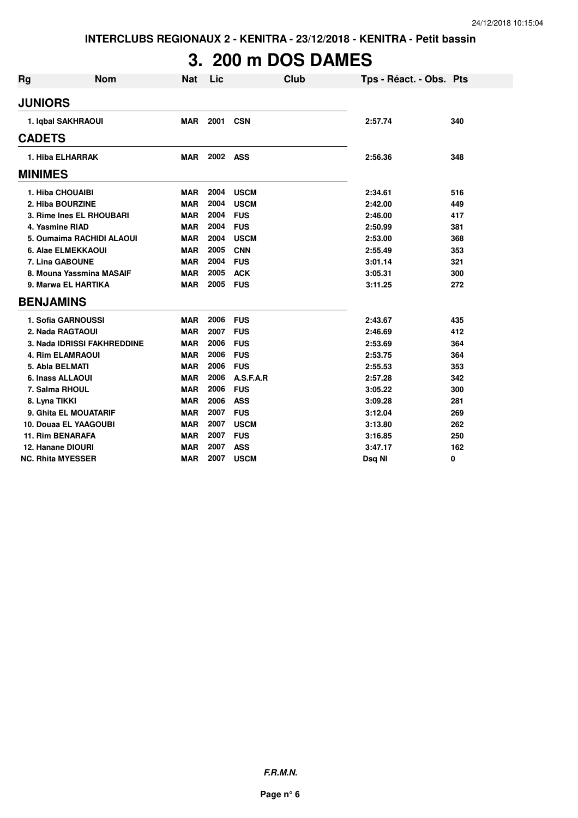# **3. 200 m DOS DAMES**

| <b>Rg</b> | <b>Nom</b>                  | <b>Nat</b> | Lic      | Club        | Tps - Réact. - Obs. Pts |     |
|-----------|-----------------------------|------------|----------|-------------|-------------------------|-----|
|           | <b>JUNIORS</b>              |            |          |             |                         |     |
|           | 1. Igbal SAKHRAOUI          | <b>MAR</b> | 2001     | <b>CSN</b>  | 2:57.74                 | 340 |
|           | <b>CADETS</b>               |            |          |             |                         |     |
|           | 1. Hiba ELHARRAK            | <b>MAR</b> | 2002 ASS |             | 2:56.36                 | 348 |
|           | <b>MINIMES</b>              |            |          |             |                         |     |
|           | 1. Hiba CHOUAIBI            | <b>MAR</b> | 2004     | <b>USCM</b> | 2:34.61                 | 516 |
|           | 2. Hiba BOURZINE            | <b>MAR</b> | 2004     | <b>USCM</b> | 2:42.00                 | 449 |
|           | 3. Rime Ines EL RHOUBARI    | <b>MAR</b> | 2004     | <b>FUS</b>  | 2:46.00                 | 417 |
|           | 4. Yasmine RIAD             | <b>MAR</b> | 2004     | <b>FUS</b>  | 2:50.99                 | 381 |
|           | 5. Oumaima RACHIDI ALAOUI   | <b>MAR</b> | 2004     | <b>USCM</b> | 2:53.00                 | 368 |
|           | 6. Alae ELMEKKAOUI          | <b>MAR</b> | 2005     | <b>CNN</b>  | 2:55.49                 | 353 |
|           | 7. Lina GABOUNE             | <b>MAR</b> | 2004     | <b>FUS</b>  | 3:01.14                 | 321 |
|           | 8. Mouna Yassmina MASAIF    | <b>MAR</b> | 2005     | <b>ACK</b>  | 3:05.31                 | 300 |
|           | 9. Marwa EL HARTIKA         | <b>MAR</b> | 2005     | <b>FUS</b>  | 3:11.25                 | 272 |
|           | <b>BENJAMINS</b>            |            |          |             |                         |     |
|           | 1. Sofia GARNOUSSI          | <b>MAR</b> | 2006     | <b>FUS</b>  | 2:43.67                 | 435 |
|           | 2. Nada RAGTAOUI            | <b>MAR</b> | 2007     | <b>FUS</b>  | 2:46.69                 | 412 |
|           | 3. Nada IDRISSI FAKHREDDINE | <b>MAR</b> | 2006     | <b>FUS</b>  | 2:53.69                 | 364 |
|           | <b>4. Rim ELAMRAOUI</b>     | <b>MAR</b> | 2006     | <b>FUS</b>  | 2:53.75                 | 364 |
|           | 5. Abla BELMATI             | <b>MAR</b> | 2006     | <b>FUS</b>  | 2:55.53                 | 353 |
|           | 6. Inass ALLAOUI            | <b>MAR</b> | 2006     | A.S.F.A.R   | 2:57.28                 | 342 |
|           | 7. Salma RHOUL              | <b>MAR</b> | 2006     | <b>FUS</b>  | 3:05.22                 | 300 |
|           | 8. Lyna TIKKI               | <b>MAR</b> | 2006     | <b>ASS</b>  | 3:09.28                 | 281 |
|           | 9. Ghita EL MOUATARIF       | <b>MAR</b> | 2007     | <b>FUS</b>  | 3:12.04                 | 269 |
|           | 10. Douaa EL YAAGOUBI       | <b>MAR</b> | 2007     | <b>USCM</b> | 3:13.80                 | 262 |
|           | <b>11. Rim BENARAFA</b>     | <b>MAR</b> | 2007     | <b>FUS</b>  | 3:16.85                 | 250 |
|           | 12. Hanane DIOURI           | <b>MAR</b> | 2007     | <b>ASS</b>  | 3:47.17                 | 162 |
|           | <b>NC. Rhita MYESSER</b>    | <b>MAR</b> | 2007     | <b>USCM</b> | Dsg NI                  | 0   |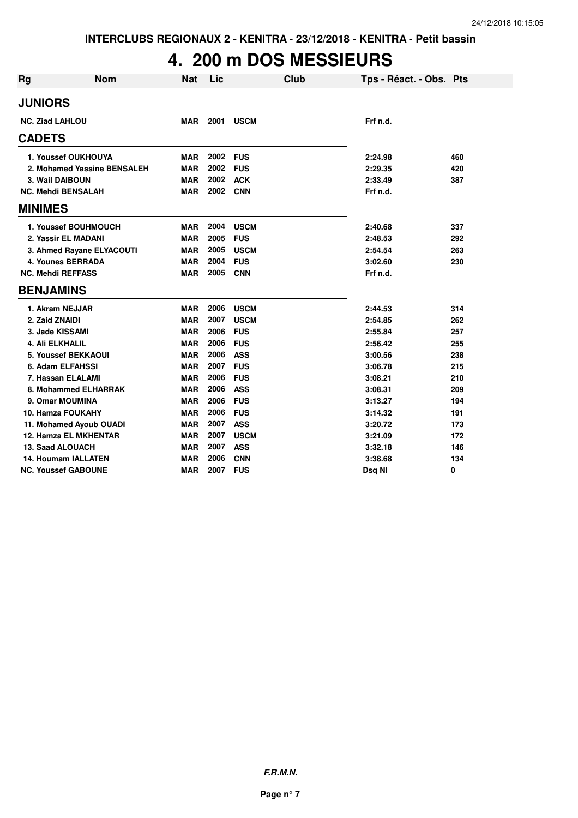## **4. 200 m DOS MESSIEURS**

| Rg            | <b>Nom</b>                   | <b>Nat</b> | Lic  |             | Club | Tps - Réact. - Obs. Pts |     |
|---------------|------------------------------|------------|------|-------------|------|-------------------------|-----|
|               | <b>JUNIORS</b>               |            |      |             |      |                         |     |
|               | <b>NC. Ziad LAHLOU</b>       | <b>MAR</b> | 2001 | <b>USCM</b> |      | Frf n.d.                |     |
| <b>CADETS</b> |                              |            |      |             |      |                         |     |
|               | 1. Youssef OUKHOUYA          | <b>MAR</b> | 2002 | <b>FUS</b>  |      | 2:24.98                 | 460 |
|               | 2. Mohamed Yassine BENSALEH  | <b>MAR</b> | 2002 | <b>FUS</b>  |      | 2:29.35                 | 420 |
|               | 3. Wail DAIBOUN              | <b>MAR</b> | 2002 | <b>ACK</b>  |      | 2:33.49                 | 387 |
|               | <b>NC. Mehdi BENSALAH</b>    | MAR        | 2002 | <b>CNN</b>  |      | Frf n.d.                |     |
|               | <b>MINIMES</b>               |            |      |             |      |                         |     |
|               | 1. Youssef BOUHMOUCH         | <b>MAR</b> | 2004 | <b>USCM</b> |      | 2:40.68                 | 337 |
|               | 2. Yassir EL MADANI          | <b>MAR</b> | 2005 | <b>FUS</b>  |      | 2:48.53                 | 292 |
|               | 3. Ahmed Rayane ELYACOUTI    | <b>MAR</b> | 2005 | <b>USCM</b> |      | 2:54.54                 | 263 |
|               | <b>4. Younes BERRADA</b>     | <b>MAR</b> | 2004 | <b>FUS</b>  |      | 3:02.60                 | 230 |
|               | <b>NC. Mehdi REFFASS</b>     | <b>MAR</b> | 2005 | <b>CNN</b>  |      | Frf n.d.                |     |
|               | <b>BENJAMINS</b>             |            |      |             |      |                         |     |
|               | 1. Akram NEJJAR              | <b>MAR</b> | 2006 | <b>USCM</b> |      | 2:44.53                 | 314 |
|               | 2. Zaid ZNAIDI               | <b>MAR</b> | 2007 | <b>USCM</b> |      | 2:54.85                 | 262 |
|               | 3. Jade KISSAMI              | <b>MAR</b> | 2006 | <b>FUS</b>  |      | 2:55.84                 | 257 |
|               | 4. Ali ELKHALIL              | <b>MAR</b> | 2006 | <b>FUS</b>  |      | 2:56.42                 | 255 |
|               | 5. Youssef BEKKAOUI          | <b>MAR</b> | 2006 | <b>ASS</b>  |      | 3:00.56                 | 238 |
|               | <b>6. Adam ELFAHSSI</b>      | <b>MAR</b> | 2007 | <b>FUS</b>  |      | 3:06.78                 | 215 |
|               | 7. Hassan ELALAMI            | <b>MAR</b> | 2006 | <b>FUS</b>  |      | 3:08.21                 | 210 |
|               | 8. Mohammed ELHARRAK         | <b>MAR</b> | 2006 | <b>ASS</b>  |      | 3:08.31                 | 209 |
|               | 9. Omar MOUMINA              | <b>MAR</b> | 2006 | <b>FUS</b>  |      | 3:13.27                 | 194 |
|               | <b>10. Hamza FOUKAHY</b>     | <b>MAR</b> | 2006 | <b>FUS</b>  |      | 3:14.32                 | 191 |
|               | 11. Mohamed Ayoub OUADI      | <b>MAR</b> | 2007 | <b>ASS</b>  |      | 3:20.72                 | 173 |
|               | <b>12. Hamza EL MKHENTAR</b> | <b>MAR</b> | 2007 | <b>USCM</b> |      | 3:21.09                 | 172 |
|               | 13. Saad ALOUACH             | <b>MAR</b> | 2007 | <b>ASS</b>  |      | 3:32.18                 | 146 |
|               | <b>14. Houmam IALLATEN</b>   | <b>MAR</b> | 2006 | <b>CNN</b>  |      | 3:38.68                 | 134 |
|               | <b>NC. Youssef GABOUNE</b>   | <b>MAR</b> | 2007 | <b>FUS</b>  |      | Dsq NI                  | 0   |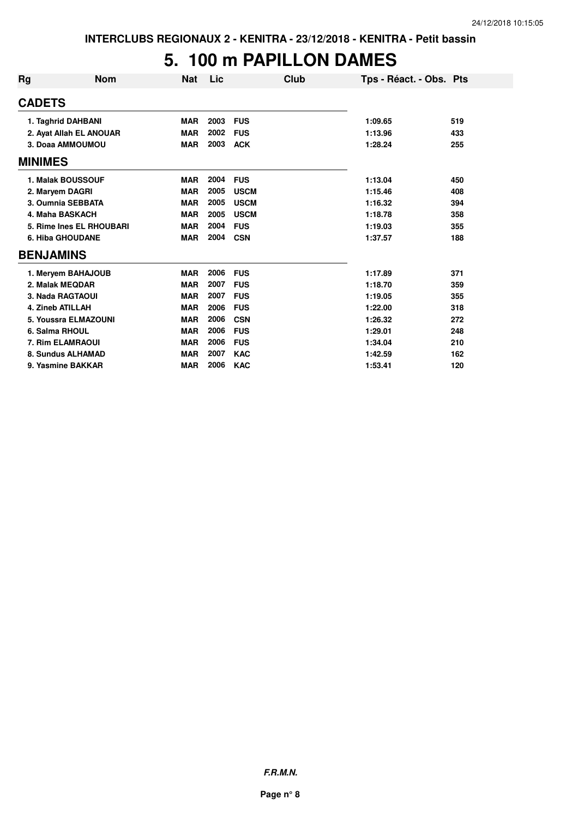#### **5. 100 m PAPILLON DAMES**

| Rg             | <b>Nom</b>               | <b>Nat</b> | Lic  | Club        | Tps - Réact. - Obs. Pts |     |
|----------------|--------------------------|------------|------|-------------|-------------------------|-----|
| <b>CADETS</b>  |                          |            |      |             |                         |     |
|                | 1. Taghrid DAHBANI       | <b>MAR</b> | 2003 | <b>FUS</b>  | 1:09.65                 | 519 |
|                | 2. Ayat Allah EL ANOUAR  | <b>MAR</b> | 2002 | <b>FUS</b>  | 1:13.96                 | 433 |
|                | 3. Doaa AMMOUMOU         | <b>MAR</b> | 2003 | <b>ACK</b>  | 1:28.24                 | 255 |
| <b>MINIMES</b> |                          |            |      |             |                         |     |
|                | 1. Malak BOUSSOUF        | <b>MAR</b> | 2004 | <b>FUS</b>  | 1:13.04                 | 450 |
|                | 2. Maryem DAGRI          | <b>MAR</b> | 2005 | <b>USCM</b> | 1:15.46                 | 408 |
|                | 3. Oumnia SEBBATA        | <b>MAR</b> | 2005 | <b>USCM</b> | 1:16.32                 | 394 |
|                | 4. Maha BASKACH          | <b>MAR</b> | 2005 | <b>USCM</b> | 1:18.78                 | 358 |
|                | 5. Rime Ines EL RHOUBARI | <b>MAR</b> | 2004 | <b>FUS</b>  | 1:19.03                 | 355 |
|                | <b>6. Hiba GHOUDANE</b>  | <b>MAR</b> | 2004 | <b>CSN</b>  | 1:37.57                 | 188 |
|                | <b>BENJAMINS</b>         |            |      |             |                         |     |
|                | 1. Meryem BAHAJOUB       | <b>MAR</b> | 2006 | <b>FUS</b>  | 1:17.89                 | 371 |
|                | 2. Malak MEQDAR          | <b>MAR</b> | 2007 | <b>FUS</b>  | 1:18.70                 | 359 |
|                | 3. Nada RAGTAOUI         | <b>MAR</b> | 2007 | <b>FUS</b>  | 1:19.05                 | 355 |
|                | 4. Zineb ATILLAH         | <b>MAR</b> | 2006 | <b>FUS</b>  | 1:22.00                 | 318 |
|                | 5. Youssra ELMAZOUNI     | <b>MAR</b> | 2006 | <b>CSN</b>  | 1:26.32                 | 272 |
|                | 6. Salma RHOUL           | <b>MAR</b> | 2006 | <b>FUS</b>  | 1:29.01                 | 248 |
|                | 7. Rim ELAMRAOUI         | <b>MAR</b> | 2006 | <b>FUS</b>  | 1:34.04                 | 210 |
|                | 8. Sundus ALHAMAD        | <b>MAR</b> | 2007 | <b>KAC</b>  | 1:42.59                 | 162 |
|                | 9. Yasmine BAKKAR        | <b>MAR</b> | 2006 | <b>KAC</b>  | 1:53.41                 | 120 |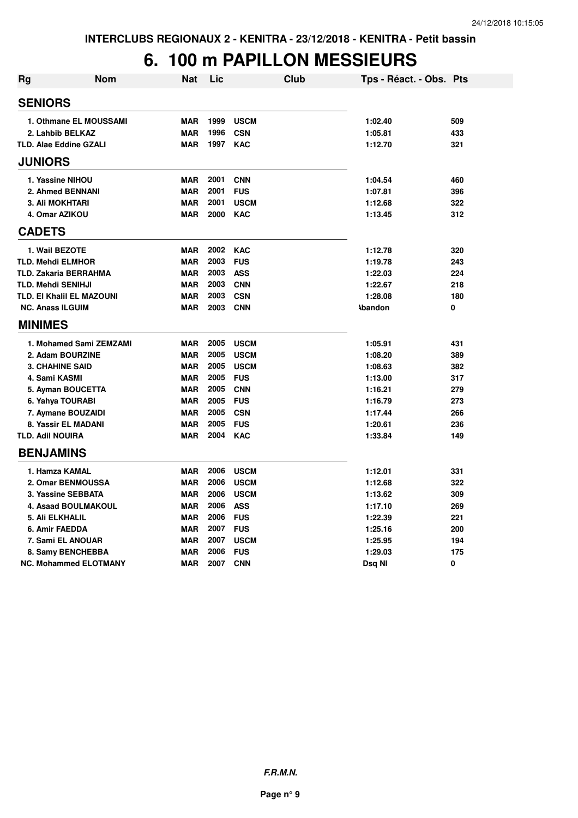### **6. 100 m PAPILLON MESSIEURS**

| <b>Rg</b>      | <b>Nom</b>                       | <b>Nat</b> | Lic  | <b>Club</b> | Tps - Réact. - Obs. Pts |     |
|----------------|----------------------------------|------------|------|-------------|-------------------------|-----|
| <b>SENIORS</b> |                                  |            |      |             |                         |     |
|                | 1. Othmane EL MOUSSAMI           | <b>MAR</b> | 1999 | <b>USCM</b> | 1:02.40                 | 509 |
|                | 2. Lahbib BELKAZ                 | <b>MAR</b> | 1996 | <b>CSN</b>  | 1:05.81                 | 433 |
|                | <b>TLD. Alae Eddine GZALI</b>    | <b>MAR</b> | 1997 | <b>KAC</b>  | 1:12.70                 | 321 |
| <b>JUNIORS</b> |                                  |            |      |             |                         |     |
|                | 1. Yassine NIHOU                 | <b>MAR</b> | 2001 | <b>CNN</b>  | 1:04.54                 | 460 |
|                | 2. Ahmed BENNANI                 | <b>MAR</b> | 2001 | <b>FUS</b>  | 1:07.81                 | 396 |
|                | <b>3. Ali MOKHTARI</b>           | <b>MAR</b> | 2001 | <b>USCM</b> | 1:12.68                 | 322 |
|                | 4. Omar AZIKOU                   | <b>MAR</b> | 2000 | <b>KAC</b>  | 1:13.45                 | 312 |
| <b>CADETS</b>  |                                  |            |      |             |                         |     |
|                | 1. Wail BEZOTE                   | <b>MAR</b> | 2002 | <b>KAC</b>  | 1:12.78                 | 320 |
|                | <b>TLD. Mehdi ELMHOR</b>         | <b>MAR</b> | 2003 | <b>FUS</b>  | 1:19.78                 | 243 |
|                | <b>TLD. Zakaria BERRAHMA</b>     | <b>MAR</b> | 2003 | <b>ASS</b>  | 1:22.03                 | 224 |
|                | <b>TLD. Mehdi SENIHJI</b>        | <b>MAR</b> | 2003 | <b>CNN</b>  | 1:22.67                 | 218 |
|                | <b>TLD. EI Khalil EL MAZOUNI</b> | <b>MAR</b> | 2003 | <b>CSN</b>  | 1:28.08                 | 180 |
|                | <b>NC. Anass ILGUIM</b>          | <b>MAR</b> | 2003 | <b>CNN</b>  | <b>\bandon</b>          | 0   |
| <b>MINIMES</b> |                                  |            |      |             |                         |     |
|                | 1. Mohamed Sami ZEMZAMI          | <b>MAR</b> | 2005 | <b>USCM</b> | 1:05.91                 | 431 |
|                | 2. Adam BOURZINE                 | <b>MAR</b> | 2005 | <b>USCM</b> | 1:08.20                 | 389 |
|                | <b>3. CHAHINE SAID</b>           | <b>MAR</b> | 2005 | <b>USCM</b> | 1:08.63                 | 382 |
|                | 4. Sami KASMI                    | <b>MAR</b> | 2005 | <b>FUS</b>  | 1:13.00                 | 317 |
|                | 5. Ayman BOUCETTA                | <b>MAR</b> | 2005 | <b>CNN</b>  | 1:16.21                 | 279 |
|                | 6. Yahya TOURABI                 | <b>MAR</b> | 2005 | <b>FUS</b>  | 1:16.79                 | 273 |
|                | 7. Aymane BOUZAIDI               | <b>MAR</b> | 2005 | <b>CSN</b>  | 1:17.44                 | 266 |
|                | 8. Yassir EL MADANI              | <b>MAR</b> | 2005 | <b>FUS</b>  | 1:20.61                 | 236 |
|                | <b>TLD. Adil NOUIRA</b>          | <b>MAR</b> | 2004 | <b>KAC</b>  | 1:33.84                 | 149 |
|                | <b>BENJAMINS</b>                 |            |      |             |                         |     |
|                | 1. Hamza KAMAL                   | <b>MAR</b> | 2006 | <b>USCM</b> | 1:12.01                 | 331 |
|                | 2. Omar BENMOUSSA                | <b>MAR</b> | 2006 | <b>USCM</b> | 1:12.68                 | 322 |
|                | 3. Yassine SEBBATA               | <b>MAR</b> | 2006 | <b>USCM</b> | 1:13.62                 | 309 |
|                | <b>4. Asaad BOULMAKOUL</b>       | <b>MAR</b> | 2006 | <b>ASS</b>  | 1:17.10                 | 269 |
|                | 5. Ali ELKHALIL                  | <b>MAR</b> | 2006 | <b>FUS</b>  | 1:22.39                 | 221 |
|                | 6. Amir FAEDDA                   | <b>MAR</b> | 2007 | <b>FUS</b>  | 1:25.16                 | 200 |
|                | 7. Sami EL ANOUAR                | <b>MAR</b> | 2007 | <b>USCM</b> | 1:25.95                 | 194 |
|                | 8. Samy BENCHEBBA                | <b>MAR</b> | 2006 | <b>FUS</b>  | 1:29.03                 | 175 |
|                | <b>NC. Mohammed ELOTMANY</b>     | <b>MAR</b> | 2007 | <b>CNN</b>  | Dsq NI                  | 0   |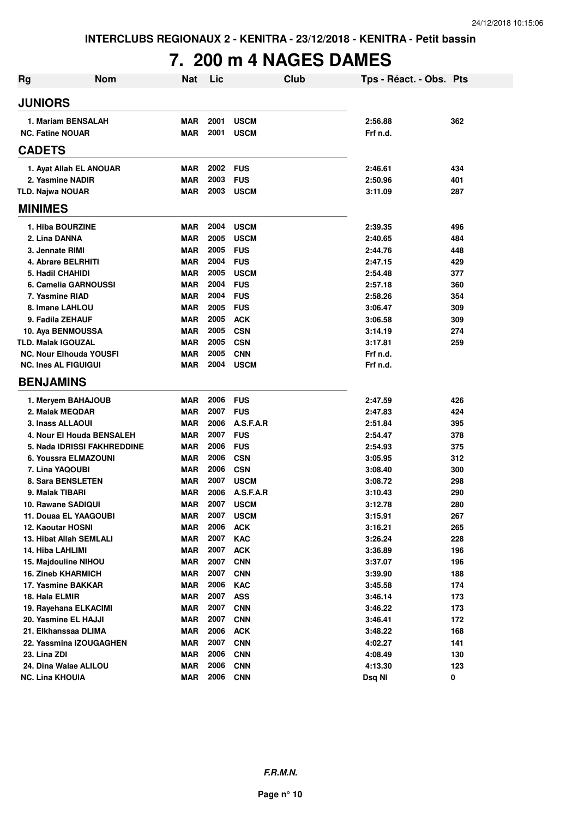## **7. 200 m 4 NAGES DAMES**

| Rg | <b>Nom</b>                     | <b>Nat</b> | Lic  | Club        | Tps - Réact. - Obs. Pts |     |
|----|--------------------------------|------------|------|-------------|-------------------------|-----|
|    | <b>JUNIORS</b>                 |            |      |             |                         |     |
|    | 1. Mariam BENSALAH             | MAR        | 2001 | <b>USCM</b> | 2:56.88                 | 362 |
|    | <b>NC. Fatine NOUAR</b>        | <b>MAR</b> | 2001 | <b>USCM</b> | Frf n.d.                |     |
|    | <b>CADETS</b>                  |            |      |             |                         |     |
|    | 1. Ayat Allah EL ANOUAR        | <b>MAR</b> | 2002 | <b>FUS</b>  | 2:46.61                 | 434 |
|    | 2. Yasmine NADIR               | <b>MAR</b> | 2003 | <b>FUS</b>  | 2:50.96                 | 401 |
|    | <b>TLD. Najwa NOUAR</b>        | <b>MAR</b> | 2003 | <b>USCM</b> | 3:11.09                 | 287 |
|    | <b>MINIMES</b>                 |            |      |             |                         |     |
|    | 1. Hiba BOURZINE               | <b>MAR</b> | 2004 | <b>USCM</b> | 2:39.35                 | 496 |
|    | 2. Lina DANNA                  | <b>MAR</b> | 2005 | <b>USCM</b> | 2:40.65                 | 484 |
|    | 3. Jennate RIMI                | <b>MAR</b> | 2005 | <b>FUS</b>  | 2:44.76                 | 448 |
|    | 4. Abrare BELRHITI             | <b>MAR</b> | 2004 | <b>FUS</b>  | 2:47.15                 | 429 |
|    | 5. Hadil CHAHIDI               | <b>MAR</b> | 2005 | <b>USCM</b> | 2:54.48                 | 377 |
|    | 6. Camelia GARNOUSSI           | <b>MAR</b> | 2004 | <b>FUS</b>  | 2:57.18                 | 360 |
|    | 7. Yasmine RIAD                | <b>MAR</b> | 2004 | <b>FUS</b>  | 2:58.26                 | 354 |
|    | 8. Imane LAHLOU                | <b>MAR</b> | 2005 | <b>FUS</b>  | 3:06.47                 | 309 |
|    | 9. Fadila ZEHAUF               | <b>MAR</b> | 2005 | <b>ACK</b>  | 3:06.58                 | 309 |
|    | 10. Aya BENMOUSSA              | <b>MAR</b> | 2005 | <b>CSN</b>  | 3:14.19                 | 274 |
|    | <b>TLD. Malak IGOUZAL</b>      | <b>MAR</b> | 2005 | <b>CSN</b>  | 3:17.81                 | 259 |
|    | <b>NC. Nour Elhouda YOUSFI</b> | <b>MAR</b> | 2005 | <b>CNN</b>  | Frf n.d.                |     |
|    | <b>NC. Ines AL FIGUIGUI</b>    | <b>MAR</b> | 2004 | <b>USCM</b> | Frf n.d.                |     |
|    | <b>BENJAMINS</b>               |            |      |             |                         |     |
|    | 1. Meryem BAHAJOUB             | <b>MAR</b> | 2006 | <b>FUS</b>  | 2:47.59                 | 426 |
|    | 2. Malak MEQDAR                | <b>MAR</b> | 2007 | <b>FUS</b>  | 2:47.83                 | 424 |
|    | 3. Inass ALLAOUI               | <b>MAR</b> | 2006 | A.S.F.A.R   | 2:51.84                 | 395 |
|    | 4. Nour El Houda BENSALEH      | <b>MAR</b> | 2007 | <b>FUS</b>  | 2:54.47                 | 378 |
|    | 5. Nada IDRISSI FAKHREDDINE    | <b>MAR</b> | 2006 | <b>FUS</b>  | 2:54.93                 | 375 |
|    | 6. Youssra ELMAZOUNI           | <b>MAR</b> | 2006 | <b>CSN</b>  | 3:05.95                 | 312 |
|    | 7. Lina YAQOUBI                | <b>MAR</b> | 2006 | <b>CSN</b>  | 3:08.40                 | 300 |
|    | 8. Sara BENSLETEN              | <b>MAR</b> | 2007 | <b>USCM</b> | 3:08.72                 | 298 |
|    | 9. Malak TIBARI                | <b>MAR</b> | 2006 | A.S.F.A.R   | 3:10.43                 | 290 |
|    | 10. Rawane SADIQUI             | <b>MAR</b> | 2007 | <b>USCM</b> | 3:12.78                 | 280 |
|    | 11. Douaa EL YAAGOUBI          | <b>MAR</b> | 2007 | <b>USCM</b> | 3:15.91                 | 267 |
|    | 12. Kaoutar HOSNI              | <b>MAR</b> | 2006 | <b>ACK</b>  | 3:16.21                 | 265 |
|    | 13. Hibat Allah SEMLALI        | <b>MAR</b> | 2007 | KAC         | 3:26.24                 | 228 |
|    | 14. Hiba LAHLIMI               | <b>MAR</b> | 2007 | <b>ACK</b>  | 3:36.89                 | 196 |
|    | 15. Majdouline NIHOU           | <b>MAR</b> | 2007 | <b>CNN</b>  | 3:37.07                 | 196 |
|    | <b>16. Zineb KHARMICH</b>      | <b>MAR</b> | 2007 | <b>CNN</b>  | 3:39.90                 | 188 |
|    | 17. Yasmine BAKKAR             | <b>MAR</b> | 2006 | <b>KAC</b>  | 3:45.58                 | 174 |
|    | 18. Hala ELMIR                 | <b>MAR</b> | 2007 | <b>ASS</b>  | 3:46.14                 | 173 |
|    | 19. Rayehana ELKACIMI          | <b>MAR</b> | 2007 | <b>CNN</b>  | 3:46.22                 | 173 |
|    | 20. Yasmine EL HAJJI           | <b>MAR</b> | 2007 | <b>CNN</b>  | 3:46.41                 | 172 |
|    | 21. Elkhanssaa DLIMA           | <b>MAR</b> | 2006 | <b>ACK</b>  | 3:48.22                 | 168 |
|    | 22. Yassmina IZOUGAGHEN        | <b>MAR</b> | 2007 | <b>CNN</b>  | 4:02.27                 | 141 |
|    | 23. Lina ZDI                   | <b>MAR</b> | 2006 | <b>CNN</b>  | 4:08.49                 | 130 |
|    | 24. Dina Walae ALILOU          | <b>MAR</b> | 2006 | <b>CNN</b>  | 4:13.30                 | 123 |
|    | <b>NC. Lina KHOUIA</b>         | <b>MAR</b> | 2006 | <b>CNN</b>  | Dsq NI                  | 0   |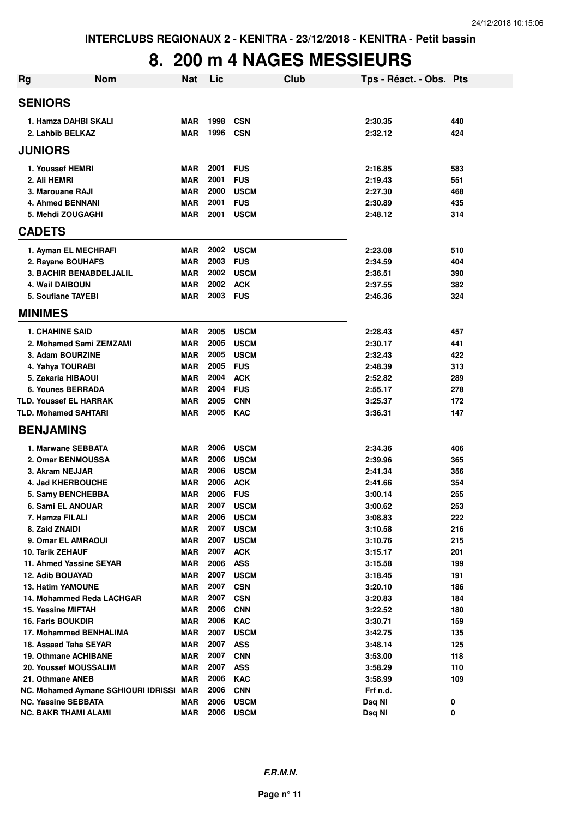#### **8. 200 m 4 NAGES MESSIEURS**

| Rg | <b>Nom</b>                              | <b>Nat</b>               | Lic          | Club                      | Tps - Réact. - Obs. Pts |            |
|----|-----------------------------------------|--------------------------|--------------|---------------------------|-------------------------|------------|
|    | <b>SENIORS</b>                          |                          |              |                           |                         |            |
|    | 1. Hamza DAHBI SKALI                    | <b>MAR</b>               | 1998         | <b>CSN</b>                | 2:30.35                 | 440        |
|    | 2. Lahbib BELKAZ                        | <b>MAR</b>               | 1996         | <b>CSN</b>                | 2:32.12                 | 424        |
|    | <b>JUNIORS</b>                          |                          |              |                           |                         |            |
|    | 1. Youssef HEMRI                        | <b>MAR</b>               | 2001         | <b>FUS</b>                | 2:16.85                 | 583        |
|    | 2. Ali HEMRI                            | <b>MAR</b>               | 2001         | <b>FUS</b>                | 2:19.43                 | 551        |
|    | 3. Marouane RAJI                        | <b>MAR</b>               | 2000         | <b>USCM</b>               | 2:27.30                 | 468        |
|    | <b>4. Ahmed BENNANI</b>                 | <b>MAR</b>               | 2001         | <b>FUS</b>                | 2:30.89                 | 435        |
|    | 5. Mehdi ZOUGAGHI                       | <b>MAR</b>               | 2001         | <b>USCM</b>               | 2:48.12                 | 314        |
|    | <b>CADETS</b>                           |                          |              |                           |                         |            |
|    | 1. Ayman EL MECHRAFI                    | MAR                      | 2002         | USCM                      | 2:23.08                 | 510        |
|    | 2. Rayane BOUHAFS                       | <b>MAR</b>               | 2003         | <b>FUS</b>                | 2:34.59                 | 404        |
|    | <b>3. BACHIR BENABDELJALIL</b>          | <b>MAR</b>               | 2002         | <b>USCM</b>               | 2:36.51                 | 390        |
|    | <b>4. Wail DAIBOUN</b>                  | <b>MAR</b>               | 2002         | <b>ACK</b>                | 2:37.55                 | 382        |
|    | 5. Soufiane TAYEBI                      | MAR                      | 2003         | <b>FUS</b>                | 2:46.36                 | 324        |
|    | <b>MINIMES</b>                          |                          |              |                           |                         |            |
|    | <b>1. CHAHINE SAID</b>                  | <b>MAR</b>               | 2005         | <b>USCM</b>               | 2:28.43                 | 457        |
|    | 2. Mohamed Sami ZEMZAMI                 | <b>MAR</b>               | 2005         | <b>USCM</b>               | 2:30.17                 | 441        |
|    | 3. Adam BOURZINE                        | <b>MAR</b>               | 2005         | <b>USCM</b>               | 2:32.43                 | 422        |
|    | 4. Yahya TOURABI                        | <b>MAR</b>               | 2005         | <b>FUS</b>                | 2:48.39                 | 313        |
|    | 5. Zakaria HIBAOUI                      | <b>MAR</b>               | 2004         | <b>ACK</b>                | 2:52.82                 | 289        |
|    | 6. Younes BERRADA                       | <b>MAR</b>               | 2004         | <b>FUS</b>                | 2:55.17                 | 278        |
|    | <b>TLD. Youssef EL HARRAK</b>           | <b>MAR</b>               | 2005         | <b>CNN</b>                | 3:25.37                 | 172        |
|    | <b>TLD. Mohamed SAHTARI</b>             | <b>MAR</b>               | 2005         | <b>KAC</b>                | 3:36.31                 | 147        |
|    | <b>BENJAMINS</b>                        |                          |              |                           |                         |            |
|    | 1. Marwane SEBBATA                      | <b>MAR</b>               | 2006         | <b>USCM</b>               | 2:34.36                 | 406        |
|    | 2. Omar BENMOUSSA                       | <b>MAR</b>               | 2006         | <b>USCM</b>               | 2:39.96                 | 365        |
|    | 3. Akram NEJJAR                         | <b>MAR</b>               | 2006         | <b>USCM</b>               | 2:41.34                 | 356        |
|    | 4. Jad KHERBOUCHE                       | <b>MAR</b>               | 2006         | <b>ACK</b>                | 2:41.66                 | 354        |
|    | 5. Samy BENCHEBBA                       | <b>MAR</b>               | 2006         | <b>FUS</b>                | 3:00.14                 | 255        |
|    | 6. Sami EL ANOUAR                       | <b>MAR</b>               | 2007         | <b>USCM</b>               | 3:00.62                 | 253        |
|    | 7. Hamza FILALI                         | MAR                      | 2006         | <b>USCM</b>               | 3:08.83                 | 222        |
|    | 8. Zaid ZNAIDI                          | <b>MAR</b>               | 2007<br>2007 | <b>USCM</b>               | 3:10.58                 | 216        |
|    | 9. Omar EL AMRAOUI<br>10. Tarik ZEHAUF  | <b>MAR</b><br><b>MAR</b> | 2007         | <b>USCM</b><br><b>ACK</b> | 3:10.76<br>3:15.17      | 215<br>201 |
|    | 11. Ahmed Yassine SEYAR                 | <b>MAR</b>               | 2006         | <b>ASS</b>                | 3:15.58                 | 199        |
|    | 12. Adib BOUAYAD                        | MAR                      | 2007         | <b>USCM</b>               | 3:18.45                 | 191        |
|    | <b>13. Hatim YAMOUNE</b>                | MAR                      | 2007         | <b>CSN</b>                | 3:20.10                 | 186        |
|    | 14. Mohammed Reda LACHGAR               | MAR                      | 2007         | <b>CSN</b>                | 3:20.83                 | 184        |
|    | 15. Yassine MIFTAH                      | <b>MAR</b>               | 2006         | <b>CNN</b>                | 3:22.52                 | 180        |
|    | <b>16. Faris BOUKDIR</b>                | <b>MAR</b>               | 2006         | <b>KAC</b>                | 3:30.71                 | 159        |
|    | 17. Mohammed BENHALIMA                  | <b>MAR</b>               | 2007         | <b>USCM</b>               | 3:42.75                 | 135        |
|    | 18. Assaad Taha SEYAR                   | <b>MAR</b>               | 2007         | <b>ASS</b>                | 3:48.14                 | 125        |
|    | 19. Othmane ACHIBANE                    | <b>MAR</b>               | 2007         | <b>CNN</b>                | 3:53.00                 | 118        |
|    | 20. Youssef MOUSSALIM                   | <b>MAR</b>               | 2007         | <b>ASS</b>                | 3:58.29                 | 110        |
|    | 21. Othmane ANEB                        | <b>MAR</b>               | 2006         | KAC                       | 3:58.99                 | 109        |
|    | NC. Mohamed Aymane SGHIOURI IDRISSI MAR |                          | 2006         | <b>CNN</b>                | Frf n.d.                |            |
|    | <b>NC. Yassine SEBBATA</b>              | MAR                      | 2006         | <b>USCM</b>               | Dsq NI                  | 0          |
|    | <b>NC. BAKR THAMI ALAMI</b>             | <b>MAR</b>               | 2006         | <b>USCM</b>               | Dsq NI                  | 0          |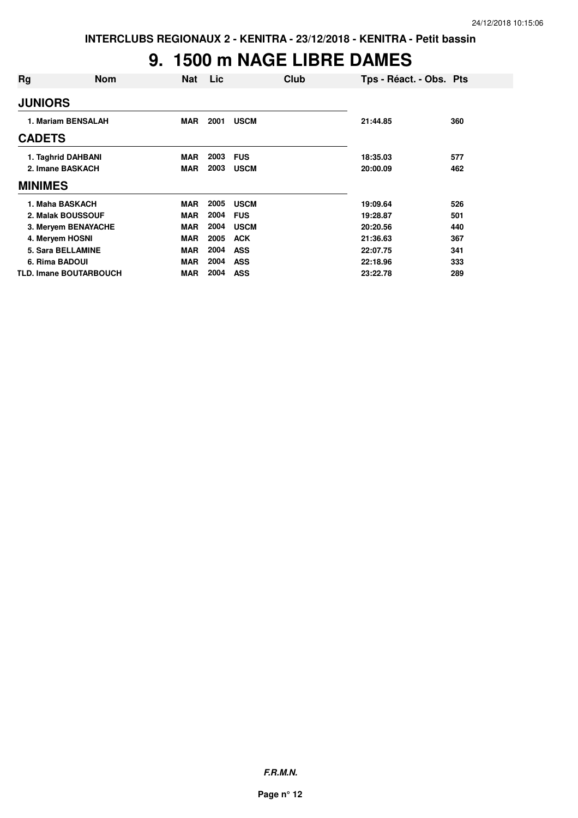### **9. 1500 m NAGE LIBRE DAMES**

| Rg                            | <b>Nom</b> | <b>Nat</b> | Lic  | Club        | Tps - Réact. - Obs. Pts |     |
|-------------------------------|------------|------------|------|-------------|-------------------------|-----|
| <b>JUNIORS</b>                |            |            |      |             |                         |     |
| 1. Mariam BENSALAH            |            | <b>MAR</b> | 2001 | <b>USCM</b> | 21:44.85                | 360 |
| <b>CADETS</b>                 |            |            |      |             |                         |     |
| 1. Taghrid DAHBANI            |            | <b>MAR</b> | 2003 | <b>FUS</b>  | 18:35.03                | 577 |
| 2. Imane BASKACH              |            | <b>MAR</b> | 2003 | <b>USCM</b> | 20:00.09                | 462 |
| <b>MINIMES</b>                |            |            |      |             |                         |     |
| 1. Maha BASKACH               |            | <b>MAR</b> | 2005 | <b>USCM</b> | 19:09.64                | 526 |
| 2. Malak BOUSSOUF             |            | <b>MAR</b> | 2004 | <b>FUS</b>  | 19:28.87                | 501 |
| 3. Meryem BENAYACHE           |            | <b>MAR</b> | 2004 | <b>USCM</b> | 20:20.56                | 440 |
| 4. Meryem HOSNI               |            | <b>MAR</b> | 2005 | <b>ACK</b>  | 21:36.63                | 367 |
| 5. Sara BELLAMINE             |            | <b>MAR</b> | 2004 | <b>ASS</b>  | 22:07.75                | 341 |
| 6. Rima BADOUI                |            | <b>MAR</b> | 2004 | <b>ASS</b>  | 22:18.96                | 333 |
| <b>TLD. Imane BOUTARBOUCH</b> |            | <b>MAR</b> | 2004 | <b>ASS</b>  | 23:22.78                | 289 |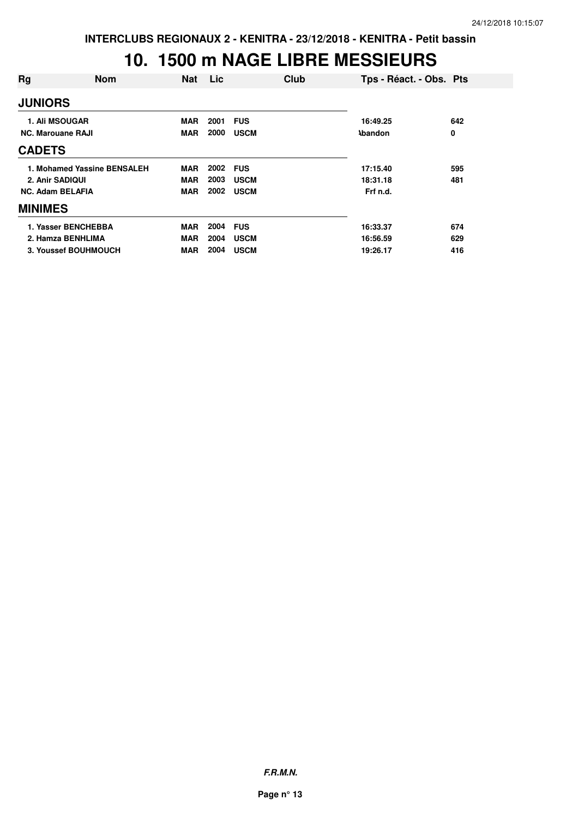#### **10. 1500 m NAGE LIBRE MESSIEURS**

| Rg                       | <b>Nom</b>                  | <b>Nat</b> | Lic  | Club        | Tps - Réact. - Obs. Pts |     |
|--------------------------|-----------------------------|------------|------|-------------|-------------------------|-----|
| <b>JUNIORS</b>           |                             |            |      |             |                         |     |
|                          | <b>1. Ali MSOUGAR</b>       | <b>MAR</b> | 2001 | <b>FUS</b>  | 16:49.25                | 642 |
| <b>NC. Marouane RAJI</b> |                             | <b>MAR</b> | 2000 | <b>USCM</b> | <b>Abandon</b>          | 0   |
| <b>CADETS</b>            |                             |            |      |             |                         |     |
|                          | 1. Mohamed Yassine BENSALEH | <b>MAR</b> | 2002 | <b>FUS</b>  | 17:15.40                | 595 |
| 2. Anir SADIQUI          |                             | <b>MAR</b> | 2003 | <b>USCM</b> | 18:31.18                | 481 |
| <b>NC. Adam BELAFIA</b>  |                             | <b>MAR</b> | 2002 | <b>USCM</b> | Frf n.d.                |     |
| <b>MINIMES</b>           |                             |            |      |             |                         |     |
|                          | 1. Yasser BENCHEBBA         | <b>MAR</b> | 2004 | <b>FUS</b>  | 16:33.37                | 674 |
|                          | 2. Hamza BENHLIMA           | <b>MAR</b> | 2004 | <b>USCM</b> | 16:56.59                | 629 |
|                          | 3. Youssef BOUHMOUCH        | <b>MAR</b> | 2004 | <b>USCM</b> | 19:26.17                | 416 |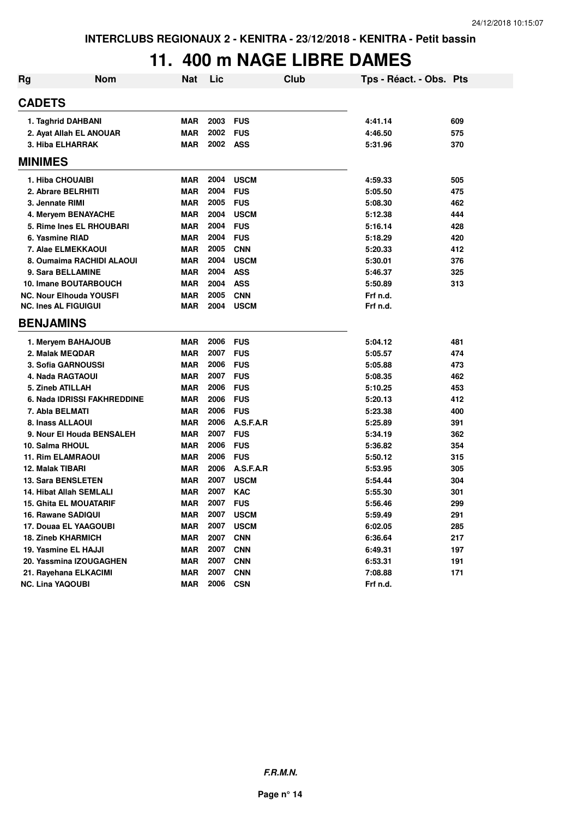### **11. 400 m NAGE LIBRE DAMES**

| Rg | <b>Nom</b>                    | Nat        | Lic  | Club        | Tps - Réact. - Obs. Pts |     |
|----|-------------------------------|------------|------|-------------|-------------------------|-----|
|    | <b>CADETS</b>                 |            |      |             |                         |     |
|    | 1. Taghrid DAHBANI            | <b>MAR</b> | 2003 | <b>FUS</b>  | 4:41.14                 | 609 |
|    | 2. Ayat Allah EL ANOUAR       | <b>MAR</b> | 2002 | <b>FUS</b>  | 4:46.50                 | 575 |
|    | 3. Hiba ELHARRAK              | <b>MAR</b> | 2002 | <b>ASS</b>  | 5:31.96                 | 370 |
|    | <b>MINIMES</b>                |            |      |             |                         |     |
|    | 1. Hiba CHOUAIBI              | MAR        | 2004 | <b>USCM</b> | 4:59.33                 | 505 |
|    | 2. Abrare BELRHITI            | <b>MAR</b> | 2004 | <b>FUS</b>  | 5:05.50                 | 475 |
|    | 3. Jennate RIMI               | <b>MAR</b> | 2005 | <b>FUS</b>  | 5:08.30                 | 462 |
|    | 4. Meryem BENAYACHE           | <b>MAR</b> | 2004 | <b>USCM</b> | 5:12.38                 | 444 |
|    | 5. Rime Ines EL RHOUBARI      | <b>MAR</b> | 2004 | <b>FUS</b>  | 5:16.14                 | 428 |
|    | 6. Yasmine RIAD               | <b>MAR</b> | 2004 | <b>FUS</b>  | 5:18.29                 | 420 |
|    | 7. Alae ELMEKKAOUI            | <b>MAR</b> | 2005 | <b>CNN</b>  | 5:20.33                 | 412 |
|    | 8. Oumaima RACHIDI ALAOUI     | <b>MAR</b> | 2004 | <b>USCM</b> | 5:30.01                 | 376 |
|    | 9. Sara BELLAMINE             | <b>MAR</b> | 2004 | <b>ASS</b>  | 5:46.37                 | 325 |
|    | 10. Imane BOUTARBOUCH         | <b>MAR</b> | 2004 | <b>ASS</b>  | 5:50.89                 | 313 |
|    | NC. Nour Elhouda YOUSFI       | <b>MAR</b> | 2005 | <b>CNN</b>  | Frf n.d.                |     |
|    | <b>NC. Ines AL FIGUIGUI</b>   | <b>MAR</b> | 2004 | <b>USCM</b> | Frf n.d.                |     |
|    | <b>BENJAMINS</b>              |            |      |             |                         |     |
|    | 1. Mervem BAHAJOUB            | MAR        | 2006 | <b>FUS</b>  | 5:04.12                 | 481 |
|    | 2. Malak MEQDAR               | MAR        | 2007 | <b>FUS</b>  | 5:05.57                 | 474 |
|    | <b>3. Sofia GARNOUSSI</b>     | <b>MAR</b> | 2006 | <b>FUS</b>  | 5:05.88                 | 473 |
|    | 4. Nada RAGTAOUI              | <b>MAR</b> | 2007 | <b>FUS</b>  | 5:08.35                 | 462 |
|    | 5. Zineb ATILLAH              | MAR        | 2006 | <b>FUS</b>  | 5:10.25                 | 453 |
|    | 6. Nada IDRISSI FAKHREDDINE   | <b>MAR</b> | 2006 | <b>FUS</b>  | 5:20.13                 | 412 |
|    | 7. Abla BELMATI               | <b>MAR</b> | 2006 | <b>FUS</b>  | 5:23.38                 | 400 |
|    | 8. Inass ALLAOUI              | <b>MAR</b> | 2006 | A.S.F.A.R   | 5:25.89                 | 391 |
|    | 9. Nour El Houda BENSALEH     | MAR        | 2007 | <b>FUS</b>  | 5:34.19                 | 362 |
|    | 10. Salma RHOUL               | <b>MAR</b> | 2006 | <b>FUS</b>  | 5:36.82                 | 354 |
|    | 11. Rim ELAMRAOUI             | MAR        | 2006 | <b>FUS</b>  | 5:50.12                 | 315 |
|    | 12. Malak TIBARI              | <b>MAR</b> | 2006 | A.S.F.A.R   | 5:53.95                 | 305 |
|    | 13. Sara BENSLETEN            | MAR        | 2007 | <b>USCM</b> | 5:54.44                 | 304 |
|    | 14. Hibat Allah SEMLALI       | <b>MAR</b> | 2007 | <b>KAC</b>  | 5:55.30                 | 301 |
|    | <b>15. Ghita EL MOUATARIF</b> | <b>MAR</b> | 2007 | <b>FUS</b>  | 5:56.46                 | 299 |
|    | 16. Rawane SADIQUI            | <b>MAR</b> | 2007 | <b>USCM</b> | 5:59.49                 | 291 |
|    | 17. Douaa EL YAAGOUBI         | <b>MAR</b> | 2007 | <b>USCM</b> | 6:02.05                 | 285 |
|    | <b>18. Zineb KHARMICH</b>     | <b>MAR</b> | 2007 | <b>CNN</b>  | 6:36.64                 | 217 |
|    | 19. Yasmine EL HAJJI          | <b>MAR</b> | 2007 | <b>CNN</b>  | 6:49.31                 | 197 |
|    | 20. Yassmina IZOUGAGHEN       | <b>MAR</b> | 2007 | <b>CNN</b>  | 6:53.31                 | 191 |
|    | 21. Rayehana ELKACIMI         | <b>MAR</b> | 2007 | <b>CNN</b>  | 7:08.88                 | 171 |
|    | <b>NC. Lina YAQOUBI</b>       | <b>MAR</b> | 2006 | <b>CSN</b>  | Frf n.d.                |     |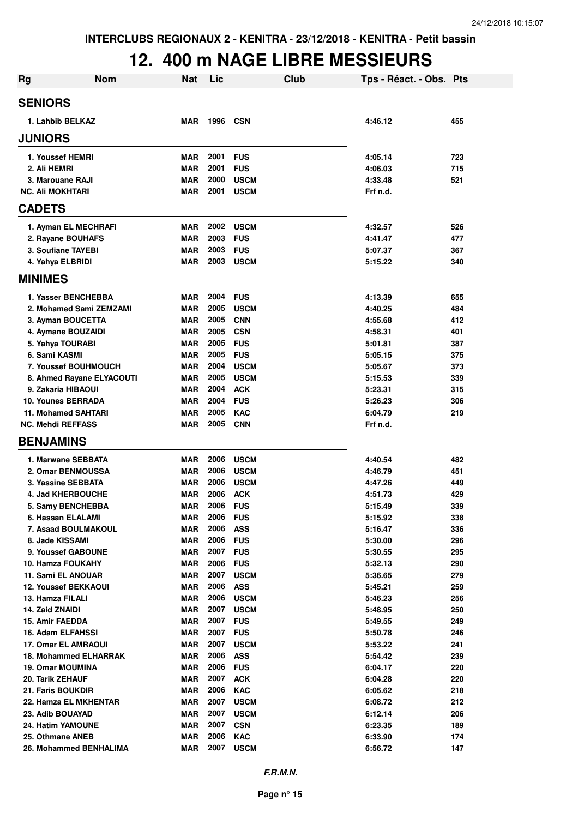#### **12. 400 m NAGE LIBRE MESSIEURS**

| Rg                           | <b>Nom</b> | <b>Nat</b> | Lic          | Club        | Tps - Réact. - Obs. Pts |     |
|------------------------------|------------|------------|--------------|-------------|-------------------------|-----|
| <b>SENIORS</b>               |            |            |              |             |                         |     |
| 1. Lahbib BELKAZ             |            | <b>MAR</b> | 1996         | CSN         | 4:46.12                 | 455 |
| <b>JUNIORS</b>               |            |            |              |             |                         |     |
| 1. Youssef HEMRI             |            | <b>MAR</b> | 2001         | <b>FUS</b>  | 4:05.14                 | 723 |
| 2. Ali HEMRI                 |            | <b>MAR</b> | 2001         | <b>FUS</b>  | 4:06.03                 | 715 |
| 3. Marouane RAJI             |            | <b>MAR</b> | 2000         | <b>USCM</b> | 4:33.48                 | 521 |
| <b>NC. Ali MOKHTARI</b>      |            | <b>MAR</b> | 2001         | <b>USCM</b> | Frf n.d.                |     |
| <b>CADETS</b>                |            |            |              |             |                         |     |
| 1. Ayman EL MECHRAFI         |            | <b>MAR</b> | 2002         | <b>USCM</b> | 4:32.57                 | 526 |
| 2. Rayane BOUHAFS            |            | <b>MAR</b> | 2003         | <b>FUS</b>  | 4:41.47                 | 477 |
| 3. Soufiane TAYEBI           |            | <b>MAR</b> | 2003         | <b>FUS</b>  | 5:07.37                 | 367 |
| 4. Yahya ELBRIDI             |            | <b>MAR</b> | 2003         | <b>USCM</b> | 5:15.22                 | 340 |
| <b>MINIMES</b>               |            |            |              |             |                         |     |
| 1. Yasser BENCHEBBA          |            | <b>MAR</b> | 2004         | <b>FUS</b>  | 4:13.39                 | 655 |
| 2. Mohamed Sami ZEMZAMI      |            | <b>MAR</b> | 2005         | <b>USCM</b> | 4:40.25                 | 484 |
| 3. Ayman BOUCETTA            |            | <b>MAR</b> | 2005         | <b>CNN</b>  | 4:55.68                 | 412 |
| 4. Aymane BOUZAIDI           |            | <b>MAR</b> | 2005         | <b>CSN</b>  | 4:58.31                 | 401 |
| 5. Yahya TOURABI             |            | <b>MAR</b> | 2005         | <b>FUS</b>  | 5:01.81                 | 387 |
| 6. Sami KASMI                |            | <b>MAR</b> | 2005         | <b>FUS</b>  | 5:05.15                 | 375 |
| <b>7. Youssef BOUHMOUCH</b>  |            | <b>MAR</b> | 2004         | <b>USCM</b> | 5:05.67                 | 373 |
| 8. Ahmed Rayane ELYACOUTI    |            | <b>MAR</b> | 2005         | <b>USCM</b> | 5:15.53                 | 339 |
| 9. Zakaria HIBAOUI           |            | <b>MAR</b> | 2004         | <b>ACK</b>  | 5:23.31                 | 315 |
| <b>10. Younes BERRADA</b>    |            | <b>MAR</b> | 2004         | <b>FUS</b>  | 5:26.23                 | 306 |
| <b>11. Mohamed SAHTARI</b>   |            | <b>MAR</b> | 2005         | <b>KAC</b>  | 6:04.79                 | 219 |
| <b>NC. Mehdi REFFASS</b>     |            | <b>MAR</b> | 2005         | <b>CNN</b>  | Frf n.d.                |     |
| <b>BENJAMINS</b>             |            |            |              |             |                         |     |
| 1. Marwane SEBBATA           |            | <b>MAR</b> | 2006         | <b>USCM</b> | 4:40.54                 | 482 |
| 2. Omar BENMOUSSA            |            | <b>MAR</b> | 2006         | <b>USCM</b> | 4:46.79                 | 451 |
| 3. Yassine SEBBATA           |            | <b>MAR</b> | 2006         | <b>USCM</b> | 4:47.26                 | 449 |
| <b>4. Jad KHERBOUCHE</b>     |            | <b>MAR</b> | 2006         | <b>ACK</b>  | 4:51.73                 | 429 |
| 5. Samy BENCHEBBA            |            | <b>MAR</b> | 2006         | <b>FUS</b>  | 5:15.49                 | 339 |
| 6. Hassan ELALAMI            |            | <b>MAR</b> | 2006 FUS     |             | 5:15.92                 | 338 |
| 7. Asaad BOULMAKOUL          |            | <b>MAR</b> | 2006         | <b>ASS</b>  | 5:16.47                 | 336 |
| 8. Jade KISSAMI              |            | <b>MAR</b> | 2006         | <b>FUS</b>  | 5:30.00                 | 296 |
| 9. Youssef GABOUNE           |            | <b>MAR</b> | 2007         | <b>FUS</b>  | 5:30.55                 | 295 |
| <b>10. Hamza FOUKAHY</b>     |            | <b>MAR</b> | 2006         | <b>FUS</b>  | 5:32.13                 | 290 |
| 11. Sami EL ANOUAR           |            | <b>MAR</b> | 2007         | <b>USCM</b> | 5:36.65                 | 279 |
| <b>12. Youssef BEKKAOUI</b>  |            | <b>MAR</b> | 2006         | <b>ASS</b>  | 5:45.21                 | 259 |
| 13. Hamza FILALI             |            | <b>MAR</b> | 2006         | <b>USCM</b> | 5:46.23                 | 256 |
| 14. Zaid ZNAIDI              |            | <b>MAR</b> | 2007         | <b>USCM</b> | 5:48.95                 | 250 |
| <b>15. Amir FAEDDA</b>       |            | <b>MAR</b> | 2007         | <b>FUS</b>  | 5:49.55                 | 249 |
| 16. Adam ELFAHSSI            |            | MAR        | 2007         | <b>FUS</b>  | 5:50.78                 | 246 |
| <b>17. Omar EL AMRAOUI</b>   |            | <b>MAR</b> | 2007         | <b>USCM</b> | 5:53.22                 | 241 |
| <b>18. Mohammed ELHARRAK</b> |            | MAR        | 2006         | <b>ASS</b>  | 5:54.42                 | 239 |
| <b>19. Omar MOUMINA</b>      |            | MAR        | 2006         | <b>FUS</b>  | 6:04.17                 | 220 |
| 20. Tarik ZEHAUF             |            | MAR        | 2007         | <b>ACK</b>  | 6:04.28                 | 220 |
| 21. Faris BOUKDIR            |            | <b>MAR</b> | 2006         | KAC         | 6:05.62                 | 218 |
| 22. Hamza EL MKHENTAR        |            | <b>MAR</b> | 2007<br>2007 | <b>USCM</b> | 6:08.72                 | 212 |
| 23. Adib BOUAYAD             |            | <b>MAR</b> | 2007         | <b>USCM</b> | 6:12.14                 | 206 |
| <b>24. Hatim YAMOUNE</b>     |            | <b>MAR</b> | 2006         | <b>CSN</b>  | 6:23.35                 | 189 |
| 25. Othmane ANEB             |            | <b>MAR</b> | 2007         | <b>KAC</b>  | 6:33.90                 | 174 |
| 26. Mohammed BENHALIMA       |            | MAR        |              | <b>USCM</b> | 6:56.72                 | 147 |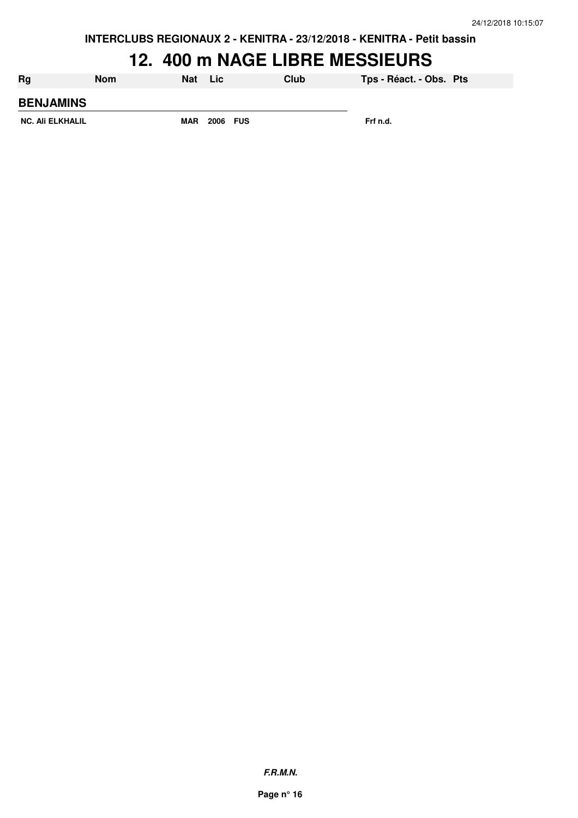**INTERCLUBS REGIONAUX 2 - KENITRA - 23/12/2018 - KENITRA - Petit bassin**

#### **12. 400 m NAGE LIBRE MESSIEURS**

| Rg               | Nom | Nat        | Lic      | Club | Tps - Réact. - Obs. Pts |  |
|------------------|-----|------------|----------|------|-------------------------|--|
| <b>BENJAMINS</b> |     |            |          |      |                         |  |
| NC. Ali ELKHALIL |     | <b>MAR</b> | 2006 FUS |      | Frf n.d.                |  |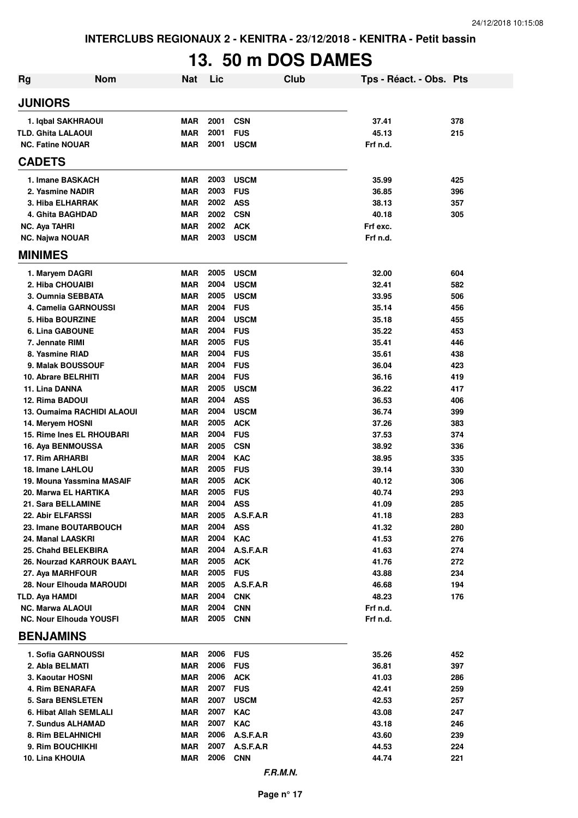# **13. 50 m DOS DAMES**

| Rg                                         | <b>Nom</b> | Nat                      | Lic          |                           | Club | Tps - Réact. - Obs. Pts |            |
|--------------------------------------------|------------|--------------------------|--------------|---------------------------|------|-------------------------|------------|
| <b>JUNIORS</b>                             |            |                          |              |                           |      |                         |            |
| 1. Iqbal SAKHRAOUI                         |            | <b>MAR</b>               | 2001         | <b>CSN</b>                |      | 37.41                   | 378        |
| <b>TLD. Ghita LALAOUI</b>                  |            | <b>MAR</b>               | 2001         | <b>FUS</b>                |      | 45.13                   | 215        |
| <b>NC. Fatine NOUAR</b>                    |            | <b>MAR</b>               | 2001         | <b>USCM</b>               |      | Frf n.d.                |            |
| <b>CADETS</b>                              |            |                          |              |                           |      |                         |            |
| 1. Imane BASKACH                           |            | <b>MAR</b>               | 2003         | <b>USCM</b>               |      | 35.99                   | 425        |
| 2. Yasmine NADIR                           |            | <b>MAR</b>               | 2003         | <b>FUS</b>                |      | 36.85                   | 396        |
| 3. Hiba ELHARRAK                           |            | <b>MAR</b>               | 2002         | <b>ASS</b>                |      | 38.13                   | 357        |
| 4. Ghita BAGHDAD                           |            | <b>MAR</b>               | 2002         | <b>CSN</b>                |      | 40.18                   | 305        |
| <b>NC. Aya TAHRI</b>                       |            | <b>MAR</b>               | 2002         | <b>ACK</b>                |      | Frf exc.                |            |
| <b>NC. Najwa NOUAR</b>                     |            | <b>MAR</b>               | 2003         | <b>USCM</b>               |      | Frf n.d.                |            |
| <b>MINIMES</b>                             |            |                          |              |                           |      |                         |            |
| 1. Maryem DAGRI                            |            | <b>MAR</b>               | 2005         | <b>USCM</b>               |      | 32.00                   | 604        |
| 2. Hiba CHOUAIBI                           |            | <b>MAR</b>               | 2004         | <b>USCM</b>               |      | 32.41                   | 582        |
| 3. Oumnia SEBBATA<br>4. Camelia GARNOUSSI  |            | <b>MAR</b>               | 2005<br>2004 | <b>USCM</b>               |      | 33.95                   | 506<br>456 |
| 5. Hiba BOURZINE                           |            | <b>MAR</b><br><b>MAR</b> | 2004         | <b>FUS</b><br><b>USCM</b> |      | 35.14<br>35.18          | 455        |
| <b>6. Lina GABOUNE</b>                     |            | <b>MAR</b>               | 2004         | <b>FUS</b>                |      | 35.22                   | 453        |
| 7. Jennate RIMI                            |            | <b>MAR</b>               | 2005         | <b>FUS</b>                |      | 35.41                   | 446        |
| 8. Yasmine RIAD                            |            | <b>MAR</b>               | 2004         | <b>FUS</b>                |      | 35.61                   | 438        |
| 9. Malak BOUSSOUF                          |            | <b>MAR</b>               | 2004         | <b>FUS</b>                |      | 36.04                   | 423        |
| 10. Abrare BELRHITI                        |            | <b>MAR</b>               | 2004         | <b>FUS</b>                |      | 36.16                   | 419        |
| 11. Lina DANNA                             |            | <b>MAR</b>               | 2005         | <b>USCM</b>               |      | 36.22                   | 417        |
| 12. Rima BADOUI                            |            | <b>MAR</b>               | 2004         | <b>ASS</b>                |      | 36.53                   | 406        |
| 13. Oumaima RACHIDI ALAOUI                 |            | <b>MAR</b>               | 2004         | <b>USCM</b>               |      | 36.74                   | 399        |
| 14. Meryem HOSNI                           |            | <b>MAR</b>               | 2005         | <b>ACK</b>                |      | 37.26                   | 383        |
| 15. Rime Ines EL RHOUBARI                  |            | <b>MAR</b>               | 2004         | <b>FUS</b>                |      | 37.53                   | 374        |
| 16. Aya BENMOUSSA                          |            | <b>MAR</b>               | 2005         | <b>CSN</b>                |      | 38.92                   | 336        |
| 17. Rim ARHARBI                            |            | <b>MAR</b>               | 2004         | <b>KAC</b>                |      | 38.95                   | 335        |
| 18. Imane LAHLOU                           |            | <b>MAR</b>               | 2005         | <b>FUS</b>                |      | 39.14                   | 330        |
| 19. Mouna Yassmina MASAIF                  |            | <b>MAR</b>               | 2005         | <b>ACK</b>                |      | 40.12                   | 306        |
| 20. Marwa EL HARTIKA                       |            | <b>MAR</b>               | 2005         | <b>FUS</b>                |      | 40.74                   | 293        |
| 21. Sara BELLAMINE                         |            | <b>MAR</b>               | 2004         | <b>ASS</b>                |      | 41.09                   | 285        |
| 22. Abir ELFARSSI                          |            | <b>MAR</b>               | 2005         | A.S.F.A.R                 |      | 41.18                   | 283        |
| 23. Imane BOUTARBOUCH<br>24. Manal LAASKRI |            | MAR<br><b>MAR</b>        | 2004<br>2004 | <b>ASS</b><br><b>KAC</b>  |      | 41.32<br>41.53          | 280<br>276 |
| 25. Chahd BELEKBIRA                        |            | <b>MAR</b>               | 2004         | A.S.F.A.R                 |      | 41.63                   | 274        |
| 26. Nourzad KARROUK BAAYL                  |            | <b>MAR</b>               | 2005         | <b>ACK</b>                |      | 41.76                   | 272        |
| 27. Aya MARHFOUR                           |            | MAR                      | 2005         | <b>FUS</b>                |      | 43.88                   | 234        |
| 28. Nour Elhouda MAROUDI                   |            | <b>MAR</b>               | 2005         | A.S.F.A.R                 |      | 46.68                   | 194        |
| TLD. Aya HAMDI                             |            | <b>MAR</b>               | 2004         | <b>CNK</b>                |      | 48.23                   | 176        |
| <b>NC. Marwa ALAOUI</b>                    |            | <b>MAR</b>               | 2004         | <b>CNN</b>                |      | Frf n.d.                |            |
| <b>NC. Nour Elhouda YOUSFI</b>             |            | MAR                      | 2005         | <b>CNN</b>                |      | Frf n.d.                |            |
| <b>BENJAMINS</b>                           |            |                          |              |                           |      |                         |            |
| 1. Sofia GARNOUSSI                         |            | <b>MAR</b>               | 2006         | <b>FUS</b>                |      | 35.26                   | 452        |
| 2. Abla BELMATI                            |            | <b>MAR</b>               | 2006         | <b>FUS</b>                |      | 36.81                   | 397        |
| 3. Kaoutar HOSNI                           |            | <b>MAR</b>               | 2006         | <b>ACK</b>                |      | 41.03                   | 286        |
| 4. Rim BENARAFA                            |            | <b>MAR</b>               | 2007         | <b>FUS</b>                |      | 42.41                   | 259        |
| 5. Sara BENSLETEN                          |            | <b>MAR</b>               | 2007         | <b>USCM</b>               |      | 42.53                   | 257        |
| 6. Hibat Allah SEMLALI                     |            | <b>MAR</b>               | 2007         | <b>KAC</b>                |      | 43.08                   | 247        |
| 7. Sundus ALHAMAD                          |            | <b>MAR</b>               | 2007         | <b>KAC</b>                |      | 43.18                   | 246        |
| 8. Rim BELAHNICHI                          |            | <b>MAR</b>               | 2006         | A.S.F.A.R                 |      | 43.60                   | 239        |
| 9. Rim BOUCHIKHI                           |            | <b>MAR</b>               | 2007         | A.S.F.A.R                 |      | 44.53                   | 224        |
| 10. Lina KHOUIA                            |            | MAR                      | 2006         | <b>CNN</b>                |      | 44.74                   | 221        |
|                                            |            |                          |              | F.R.M.N.                  |      |                         |            |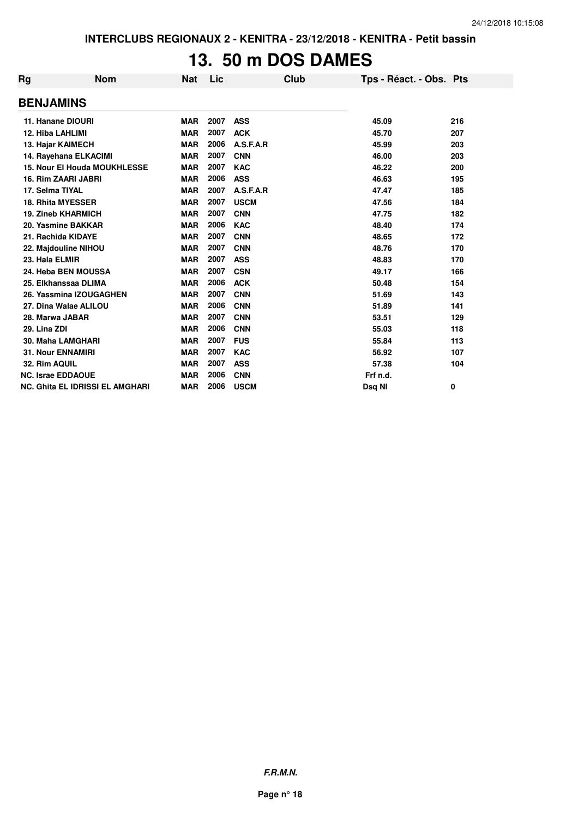## **13. 50 m DOS DAMES**

| Rg                      | <b>Nom</b>                             | Nat        | Lic  | <b>Club</b> | Tps - Réact. - Obs. Pts |     |
|-------------------------|----------------------------------------|------------|------|-------------|-------------------------|-----|
| <b>BENJAMINS</b>        |                                        |            |      |             |                         |     |
|                         | 11. Hanane DIOURI                      | <b>MAR</b> | 2007 | <b>ASS</b>  | 45.09                   | 216 |
| <b>12. Hiba LAHLIMI</b> |                                        | <b>MAR</b> | 2007 | <b>ACK</b>  | 45.70                   | 207 |
|                         | 13. Hajar KAIMECH                      | <b>MAR</b> | 2006 | A.S.F.A.R   | 45.99                   | 203 |
|                         | 14. Rayehana ELKACIMI                  | <b>MAR</b> | 2007 | <b>CNN</b>  | 46.00                   | 203 |
|                         | <b>15. Nour El Houda MOUKHLESSE</b>    | <b>MAR</b> | 2007 | <b>KAC</b>  | 46.22                   | 200 |
|                         | <b>16. Rim ZAARI JABRI</b>             | <b>MAR</b> | 2006 | <b>ASS</b>  | 46.63                   | 195 |
| 17. Selma TIYAL         |                                        | <b>MAR</b> | 2007 | A.S.F.A.R   | 47.47                   | 185 |
|                         | <b>18. Rhita MYESSER</b>               | <b>MAR</b> | 2007 | <b>USCM</b> | 47.56                   | 184 |
|                         | <b>19. Zineb KHARMICH</b>              | <b>MAR</b> | 2007 | <b>CNN</b>  | 47.75                   | 182 |
|                         | 20. Yasmine BAKKAR                     | <b>MAR</b> | 2006 | <b>KAC</b>  | 48.40                   | 174 |
|                         | 21. Rachida KIDAYE                     | <b>MAR</b> | 2007 | <b>CNN</b>  | 48.65                   | 172 |
|                         | 22. Majdouline NIHOU                   | <b>MAR</b> | 2007 | <b>CNN</b>  | 48.76                   | 170 |
| 23. Hala ELMIR          |                                        | <b>MAR</b> | 2007 | <b>ASS</b>  | 48.83                   | 170 |
|                         | 24. Heba BEN MOUSSA                    | <b>MAR</b> | 2007 | <b>CSN</b>  | 49.17                   | 166 |
|                         | 25. Elkhanssaa DLIMA                   | <b>MAR</b> | 2006 | <b>ACK</b>  | 50.48                   | 154 |
|                         | 26. Yassmina IZOUGAGHEN                | <b>MAR</b> | 2007 | <b>CNN</b>  | 51.69                   | 143 |
|                         | 27. Dina Walae ALILOU                  | <b>MAR</b> | 2006 | <b>CNN</b>  | 51.89                   | 141 |
| 28. Marwa JABAR         |                                        | <b>MAR</b> | 2007 | <b>CNN</b>  | 53.51                   | 129 |
| 29. Lina ZDI            |                                        | <b>MAR</b> | 2006 | <b>CNN</b>  | 55.03                   | 118 |
|                         | 30. Maha LAMGHARI                      | <b>MAR</b> | 2007 | <b>FUS</b>  | 55.84                   | 113 |
|                         | <b>31. Nour ENNAMIRI</b>               | <b>MAR</b> | 2007 | <b>KAC</b>  | 56.92                   | 107 |
| 32. Rim AQUIL           |                                        | <b>MAR</b> | 2007 | <b>ASS</b>  | 57.38                   | 104 |
|                         | <b>NC. Israe EDDAOUE</b>               | <b>MAR</b> | 2006 | <b>CNN</b>  | Frf n.d.                |     |
|                         | <b>NC. Ghita EL IDRISSI EL AMGHARI</b> | <b>MAR</b> | 2006 | <b>USCM</b> | Dsq NI                  | 0   |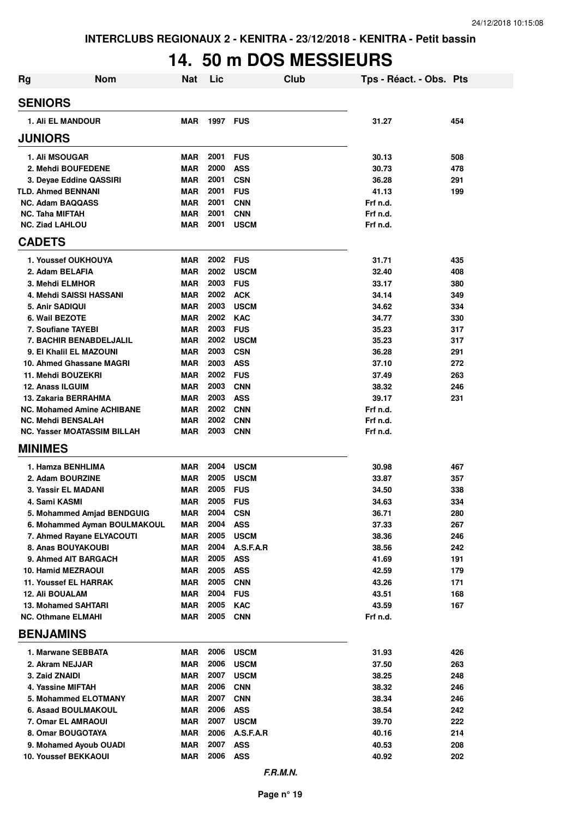### **14. 50 m DOS MESSIEURS**

| <b>Rg</b>                                            | <b>Nom</b>                   | <b>Nat</b>               | Lic             |                            | <b>Club</b> | Tps - Réact. - Obs. Pts |            |
|------------------------------------------------------|------------------------------|--------------------------|-----------------|----------------------------|-------------|-------------------------|------------|
| <b>SENIORS</b>                                       |                              |                          |                 |                            |             |                         |            |
| <b>1. Ali EL MANDOUR</b>                             |                              | <b>MAR</b>               | <b>1997 FUS</b> |                            |             | 31.27                   | 454        |
| <b>JUNIORS</b>                                       |                              |                          |                 |                            |             |                         |            |
| 1. Ali MSOUGAR                                       |                              | <b>MAR</b>               | 2001            | <b>FUS</b>                 |             | 30.13                   | 508        |
| 2. Mehdi BOUFEDENE                                   |                              | <b>MAR</b>               | 2000            | <b>ASS</b>                 |             | 30.73                   | 478        |
| 3. Deyae Eddine QASSIRI                              |                              | <b>MAR</b>               | 2001            | <b>CSN</b>                 |             | 36.28                   | 291        |
| <b>TLD. Ahmed BENNANI</b>                            |                              | <b>MAR</b>               | 2001            | <b>FUS</b>                 |             | 41.13                   | 199        |
| <b>NC. Adam BAQQASS</b>                              |                              | <b>MAR</b>               | 2001            | <b>CNN</b>                 |             | Frf n.d.                |            |
| <b>NC. Taha MIFTAH</b>                               |                              | <b>MAR</b>               | 2001            | <b>CNN</b>                 |             | Frf n.d.                |            |
| <b>NC. Ziad LAHLOU</b>                               |                              | <b>MAR</b>               | 2001            | <b>USCM</b>                |             | Frf n.d.                |            |
| <b>CADETS</b>                                        |                              |                          |                 |                            |             |                         |            |
| 1. Youssef OUKHOUYA                                  |                              | <b>MAR</b>               | 2002            | <b>FUS</b>                 |             | 31.71                   | 435        |
| 2. Adam BELAFIA                                      |                              | <b>MAR</b>               | 2002            | <b>USCM</b>                |             | 32.40                   | 408        |
| 3. Mehdi ELMHOR                                      |                              | <b>MAR</b>               | 2003            | <b>FUS</b>                 |             | 33.17                   | 380        |
| 4. Mehdi SAISSI HASSANI                              |                              | <b>MAR</b>               | 2002            | <b>ACK</b>                 |             | 34.14                   | 349        |
| 5. Anir SADIQUI                                      |                              | <b>MAR</b>               | 2003            | <b>USCM</b>                |             | 34.62                   | 334        |
| 6. Wail BEZOTE                                       |                              | <b>MAR</b>               | 2002            | <b>KAC</b>                 |             | 34.77                   | 330        |
| 7. Soufiane TAYEBI<br>7. BACHIR BENABDELJALIL        |                              | <b>MAR</b><br><b>MAR</b> | 2003<br>2002    | <b>FUS</b><br><b>USCM</b>  |             | 35.23<br>35.23          | 317<br>317 |
| 9. El Khalil EL MAZOUNI                              |                              | <b>MAR</b>               | 2003            | <b>CSN</b>                 |             | 36.28                   | 291        |
| 10. Ahmed Ghassane MAGRI                             |                              | <b>MAR</b>               | 2003            | <b>ASS</b>                 |             | 37.10                   | 272        |
| 11. Mehdi BOUZEKRI                                   |                              | <b>MAR</b>               | 2002            | <b>FUS</b>                 |             | 37.49                   | 263        |
| 12. Anass ILGUIM                                     |                              | <b>MAR</b>               | 2003            | <b>CNN</b>                 |             | 38.32                   | 246        |
| 13. Zakaria BERRAHMA                                 |                              | <b>MAR</b>               | 2003            | <b>ASS</b>                 |             | 39.17                   | 231        |
| <b>NC. Mohamed Amine ACHIBANE</b>                    |                              | <b>MAR</b>               | 2002            | <b>CNN</b>                 |             | Frf n.d.                |            |
| <b>NC. Mehdi BENSALAH</b>                            |                              | <b>MAR</b>               | 2002            | <b>CNN</b>                 |             | Frf n.d.                |            |
| <b>NC. Yasser MOATASSIM BILLAH</b>                   |                              | <b>MAR</b>               | 2003            | <b>CNN</b>                 |             | Frf n.d.                |            |
| <b>MINIMES</b>                                       |                              |                          |                 |                            |             |                         |            |
| 1. Hamza BENHLIMA                                    |                              | <b>MAR</b>               | 2004            | <b>USCM</b>                |             | 30.98                   | 467        |
| 2. Adam BOURZINE                                     |                              | <b>MAR</b>               | 2005            | <b>USCM</b>                |             | 33.87                   | 357        |
| 3. Yassir EL MADANI                                  |                              | <b>MAR</b>               | 2005            | <b>FUS</b>                 |             | 34.50                   | 338        |
| 4. Sami KASMI                                        |                              | <b>MAR</b>               | 2005            | <b>FUS</b>                 |             | 34.63                   | 334        |
|                                                      | 5. Mohammed Amjad BENDGUIG   | <b>MAR</b>               | 2004            | <b>CSN</b>                 |             | 36.71                   | 280        |
|                                                      | 6. Mohammed Ayman BOULMAKOUL | <b>MAR</b>               | 2004            | <b>ASS</b>                 |             | 37.33                   | 267        |
| 7. Ahmed Rayane ELYACOUTI                            |                              | <b>MAR</b>               | 2005            | <b>USCM</b>                |             | 38.36                   | 246        |
| 8. Anas BOUYAKOUBI                                   |                              | <b>MAR</b>               | 2004            | A.S.F.A.R                  |             | 38.56                   | 242        |
| 9. Ahmed AIT BARGACH                                 |                              | <b>MAR</b>               | 2005            | <b>ASS</b>                 |             | 41.69                   | 191        |
| <b>10. Hamid MEZRAOUI</b>                            |                              | <b>MAR</b>               | 2005            | <b>ASS</b>                 |             | 42.59                   | 179        |
| <b>11. Youssef EL HARRAK</b>                         |                              | <b>MAR</b>               | 2005<br>2004    | <b>CNN</b>                 |             | 43.26                   | 171        |
| <b>12. Ali BOUALAM</b><br><b>13. Mohamed SAHTARI</b> |                              | <b>MAR</b><br><b>MAR</b> | 2005            | <b>FUS</b><br><b>KAC</b>   |             | 43.51<br>43.59          | 168<br>167 |
| <b>NC. Othmane ELMAHI</b>                            |                              | <b>MAR</b>               | 2005            | <b>CNN</b>                 |             | Frf n.d.                |            |
| <b>BENJAMINS</b>                                     |                              |                          |                 |                            |             |                         |            |
|                                                      |                              |                          |                 |                            |             |                         |            |
| 1. Marwane SEBBATA                                   |                              | MAR                      | 2006            | <b>USCM</b>                |             | 31.93                   | 426        |
| 2. Akram NEJJAR<br>3. Zaid ZNAIDI                    |                              | <b>MAR</b><br><b>MAR</b> | 2006<br>2007    | <b>USCM</b><br><b>USCM</b> |             | 37.50<br>38.25          | 263<br>248 |
| 4. Yassine MIFTAH                                    |                              | <b>MAR</b>               | 2006            | <b>CNN</b>                 |             | 38.32                   | 246        |
| 5. Mohammed ELOTMANY                                 |                              | <b>MAR</b>               | 2007            | <b>CNN</b>                 |             | 38.34                   | 246        |
| <b>6. Asaad BOULMAKOUL</b>                           |                              | <b>MAR</b>               | 2006            | <b>ASS</b>                 |             | 38.54                   | 242        |
| 7. Omar EL AMRAOUI                                   |                              | <b>MAR</b>               | 2007            | <b>USCM</b>                |             | 39.70                   | 222        |
| 8. Omar BOUGOTAYA                                    |                              | <b>MAR</b>               | 2006            | A.S.F.A.R                  |             | 40.16                   | 214        |
| 9. Mohamed Ayoub OUADI                               |                              | <b>MAR</b>               | 2007            | <b>ASS</b>                 |             | 40.53                   | 208        |
| <b>10. Youssef BEKKAOUI</b>                          |                              | <b>MAR</b>               | 2006            | <b>ASS</b>                 |             | 40.92                   | 202        |
|                                                      |                              |                          |                 |                            |             |                         |            |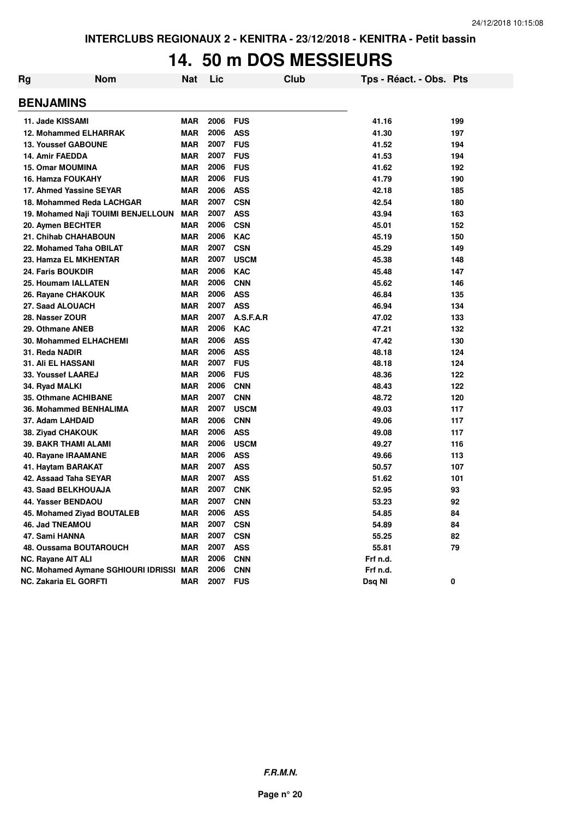#### **14. 50 m DOS MESSIEURS**

| Rg | <b>Nom</b>                              | Nat        | Lic  |             | Club | Tps - Réact. - Obs. Pts |     |
|----|-----------------------------------------|------------|------|-------------|------|-------------------------|-----|
|    | <b>BENJAMINS</b>                        |            |      |             |      |                         |     |
|    | 11. Jade KISSAMI                        | <b>MAR</b> | 2006 | <b>FUS</b>  |      | 41.16                   | 199 |
|    | <b>12. Mohammed ELHARRAK</b>            | <b>MAR</b> | 2006 | <b>ASS</b>  |      | 41.30                   | 197 |
|    | <b>13. Youssef GABOUNE</b>              | <b>MAR</b> | 2007 | <b>FUS</b>  |      | 41.52                   | 194 |
|    | 14. Amir FAEDDA                         | <b>MAR</b> | 2007 | <b>FUS</b>  |      | 41.53                   | 194 |
|    | <b>15. Omar MOUMINA</b>                 | <b>MAR</b> | 2006 | <b>FUS</b>  |      | 41.62                   | 192 |
|    | 16. Hamza FOUKAHY                       | <b>MAR</b> | 2006 | <b>FUS</b>  |      | 41.79                   | 190 |
|    | 17. Ahmed Yassine SEYAR                 | <b>MAR</b> | 2006 | <b>ASS</b>  |      | 42.18                   | 185 |
|    | 18. Mohammed Reda LACHGAR               | <b>MAR</b> | 2007 | <b>CSN</b>  |      | 42.54                   | 180 |
|    | 19. Mohamed Naji TOUIMI BENJELLOUN      | <b>MAR</b> | 2007 | <b>ASS</b>  |      | 43.94                   | 163 |
|    | 20. Aymen BECHTER                       | <b>MAR</b> | 2006 | <b>CSN</b>  |      | 45.01                   | 152 |
|    | 21. Chihab CHAHABOUN                    | <b>MAR</b> | 2006 | <b>KAC</b>  |      | 45.19                   | 150 |
|    | 22. Mohamed Taha OBILAT                 | <b>MAR</b> | 2007 | <b>CSN</b>  |      | 45.29                   | 149 |
|    | 23. Hamza EL MKHENTAR                   | <b>MAR</b> | 2007 | <b>USCM</b> |      | 45.38                   | 148 |
|    | 24. Faris BOUKDIR                       | <b>MAR</b> | 2006 | <b>KAC</b>  |      | 45.48                   | 147 |
|    | 25. Houmam IALLATEN                     | <b>MAR</b> | 2006 | <b>CNN</b>  |      | 45.62                   | 146 |
|    | 26. Rayane CHAKOUK                      | <b>MAR</b> | 2006 | <b>ASS</b>  |      | 46.84                   | 135 |
|    | 27. Saad ALOUACH                        | <b>MAR</b> | 2007 | <b>ASS</b>  |      | 46.94                   | 134 |
|    | 28. Nasser ZOUR                         | <b>MAR</b> | 2007 | A.S.F.A.R   |      | 47.02                   | 133 |
|    | 29. Othmane ANEB                        | <b>MAR</b> | 2006 | <b>KAC</b>  |      | 47.21                   | 132 |
|    | <b>30. Mohammed ELHACHEMI</b>           | <b>MAR</b> | 2006 | <b>ASS</b>  |      | 47.42                   | 130 |
|    | 31. Reda NADIR                          | <b>MAR</b> | 2006 | <b>ASS</b>  |      | 48.18                   | 124 |
|    | <b>31. Ali EL HASSANI</b>               | <b>MAR</b> | 2007 | <b>FUS</b>  |      | 48.18                   | 124 |
|    | 33. Youssef LAAREJ                      | <b>MAR</b> | 2006 | <b>FUS</b>  |      | 48.36                   | 122 |
|    | 34. Ryad MALKI                          | <b>MAR</b> | 2006 | <b>CNN</b>  |      | 48.43                   | 122 |
|    | 35. Othmane ACHIBANE                    | <b>MAR</b> | 2007 | <b>CNN</b>  |      | 48.72                   | 120 |
|    | 36. Mohammed BENHALIMA                  | <b>MAR</b> | 2007 | <b>USCM</b> |      | 49.03                   | 117 |
|    | 37. Adam LAHDAID                        | <b>MAR</b> | 2006 | <b>CNN</b>  |      | 49.06                   | 117 |
|    | 38. Ziyad CHAKOUK                       | <b>MAR</b> | 2006 | <b>ASS</b>  |      | 49.08                   | 117 |
|    | <b>39. BAKR THAMI ALAMI</b>             | <b>MAR</b> | 2006 | <b>USCM</b> |      | 49.27                   | 116 |
|    | 40. Rayane IRAAMANE                     | <b>MAR</b> | 2006 | <b>ASS</b>  |      | 49.66                   | 113 |
|    | 41. Haytam BARAKAT                      | <b>MAR</b> | 2007 | <b>ASS</b>  |      | 50.57                   | 107 |
|    | 42. Assaad Taha SEYAR                   | <b>MAR</b> | 2007 | <b>ASS</b>  |      | 51.62                   | 101 |
|    | 43. Saad BELKHOUAJA                     | <b>MAR</b> | 2007 | <b>CNK</b>  |      | 52.95                   | 93  |
|    | 44. Yasser BENDAOU                      | <b>MAR</b> | 2007 | <b>CNN</b>  |      | 53.23                   | 92  |
|    | 45. Mohamed Ziyad BOUTALEB              | <b>MAR</b> | 2006 | <b>ASS</b>  |      | 54.85                   | 84  |
|    | 46. Jad TNEAMOU                         | <b>MAR</b> | 2007 | <b>CSN</b>  |      | 54.89                   | 84  |
|    | 47. Sami HANNA                          | <b>MAR</b> | 2007 | <b>CSN</b>  |      | 55.25                   | 82  |
|    | 48. Oussama BOUTAROUCH                  | <b>MAR</b> | 2007 | <b>ASS</b>  |      | 55.81                   | 79  |
|    | <b>NC. Rayane AIT ALI</b>               | <b>MAR</b> | 2006 | <b>CNN</b>  |      | Frf n.d.                |     |
|    | NC. Mohamed Aymane SGHIOURI IDRISSI MAR |            | 2006 | <b>CNN</b>  |      | Frf n.d.                |     |
|    | NC. Zakaria EL GORFTI                   | <b>MAR</b> | 2007 | <b>FUS</b>  |      | Dsq NI                  | 0   |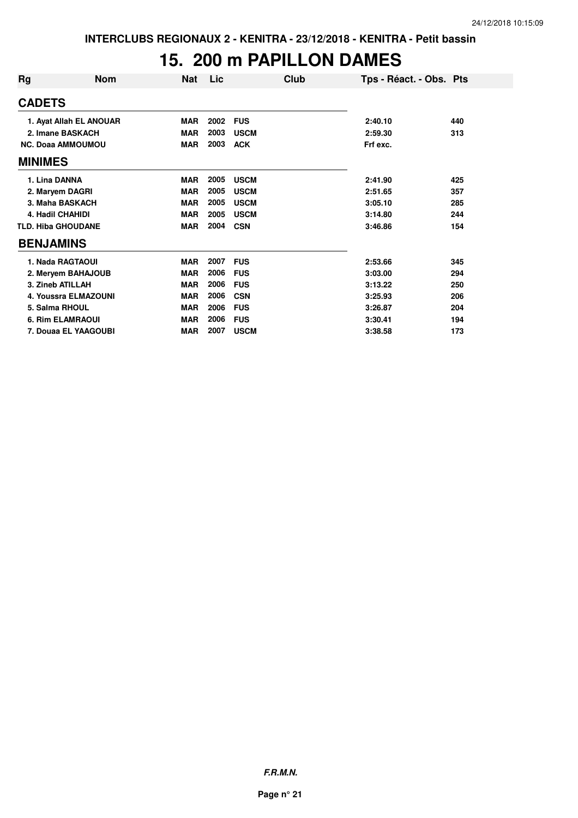### **15. 200 m PAPILLON DAMES**

| Rq               | <b>Nom</b>                | Nat        | Lic  | Club        | Tps - Réact. - Obs. Pts |     |
|------------------|---------------------------|------------|------|-------------|-------------------------|-----|
| <b>CADETS</b>    |                           |            |      |             |                         |     |
|                  | 1. Ayat Allah EL ANOUAR   | <b>MAR</b> | 2002 | <b>FUS</b>  | 2:40.10                 | 440 |
|                  | 2. Imane BASKACH          | <b>MAR</b> | 2003 | <b>USCM</b> | 2:59.30                 | 313 |
|                  | <b>NC. Doaa AMMOUMOU</b>  | <b>MAR</b> | 2003 | <b>ACK</b>  | Frf exc.                |     |
| <b>MINIMES</b>   |                           |            |      |             |                         |     |
| 1. Lina DANNA    |                           | <b>MAR</b> | 2005 | <b>USCM</b> | 2:41.90                 | 425 |
|                  | 2. Maryem DAGRI           | <b>MAR</b> | 2005 | <b>USCM</b> | 2:51.65                 | 357 |
|                  | 3. Maha BASKACH           | <b>MAR</b> | 2005 | <b>USCM</b> | 3:05.10                 | 285 |
|                  | <b>4. Hadil CHAHIDI</b>   | <b>MAR</b> | 2005 | <b>USCM</b> | 3:14.80                 | 244 |
|                  | <b>TLD. Hiba GHOUDANE</b> | <b>MAR</b> | 2004 | <b>CSN</b>  | 3:46.86                 | 154 |
| <b>BENJAMINS</b> |                           |            |      |             |                         |     |
|                  | 1. Nada RAGTAOUI          | <b>MAR</b> | 2007 | <b>FUS</b>  | 2:53.66                 | 345 |
|                  | 2. Meryem BAHAJOUB        | <b>MAR</b> | 2006 | <b>FUS</b>  | 3:03.00                 | 294 |
|                  | 3. Zineb ATILLAH          | <b>MAR</b> | 2006 | <b>FUS</b>  | 3:13.22                 | 250 |
|                  | 4. Youssra ELMAZOUNI      | <b>MAR</b> | 2006 | <b>CSN</b>  | 3:25.93                 | 206 |
|                  | 5. Salma RHOUL            | <b>MAR</b> | 2006 | <b>FUS</b>  | 3:26.87                 | 204 |
|                  | <b>6. Rim ELAMRAOUI</b>   | <b>MAR</b> | 2006 | <b>FUS</b>  | 3:30.41                 | 194 |
|                  | 7. Douaa EL YAAGOUBI      | <b>MAR</b> | 2007 | <b>USCM</b> | 3:38.58                 | 173 |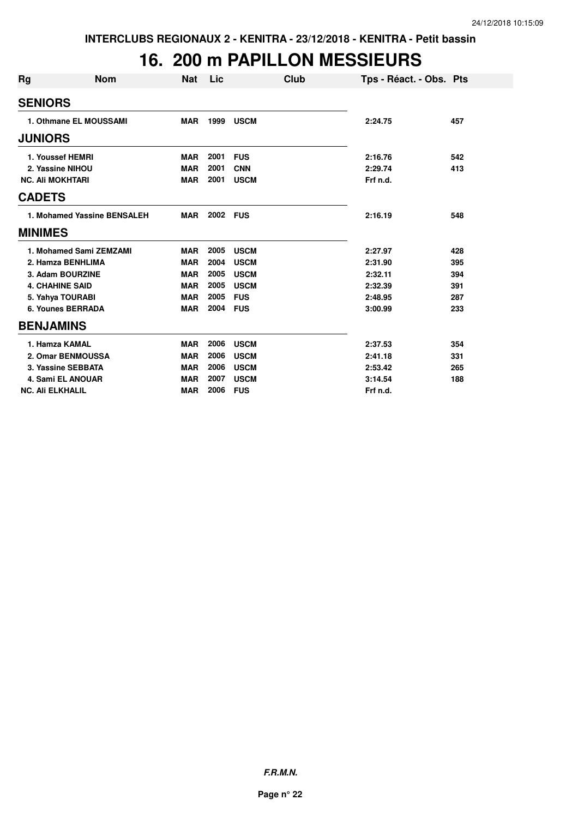#### **16. 200 m PAPILLON MESSIEURS**

| Rg | <b>Nom</b>                  | <b>Nat</b> | Lic  |             | <b>Club</b> | Tps - Réact. - Obs. Pts |     |
|----|-----------------------------|------------|------|-------------|-------------|-------------------------|-----|
|    | <b>SENIORS</b>              |            |      |             |             |                         |     |
|    | 1. Othmane EL MOUSSAMI      | <b>MAR</b> | 1999 | <b>USCM</b> |             | 2:24.75                 | 457 |
|    | <b>JUNIORS</b>              |            |      |             |             |                         |     |
|    | 1. Youssef HEMRI            | <b>MAR</b> | 2001 | <b>FUS</b>  |             | 2:16.76                 | 542 |
|    | 2. Yassine NIHOU            | <b>MAR</b> | 2001 | <b>CNN</b>  |             | 2:29.74                 | 413 |
|    | <b>NC. Ali MOKHTARI</b>     | <b>MAR</b> | 2001 | <b>USCM</b> |             | Frf n.d.                |     |
|    | <b>CADETS</b>               |            |      |             |             |                         |     |
|    | 1. Mohamed Yassine BENSALEH | <b>MAR</b> | 2002 | <b>FUS</b>  |             | 2:16.19                 | 548 |
|    | <b>MINIMES</b>              |            |      |             |             |                         |     |
|    | 1. Mohamed Sami ZEMZAMI     | <b>MAR</b> | 2005 | <b>USCM</b> |             | 2:27.97                 | 428 |
|    | 2. Hamza BENHLIMA           | <b>MAR</b> | 2004 | <b>USCM</b> |             | 2:31.90                 | 395 |
|    | 3. Adam BOURZINE            | <b>MAR</b> | 2005 | <b>USCM</b> |             | 2:32.11                 | 394 |
|    | <b>4. CHAHINE SAID</b>      | <b>MAR</b> | 2005 | <b>USCM</b> |             | 2:32.39                 | 391 |
|    | 5. Yahya TOURABI            | <b>MAR</b> | 2005 | <b>FUS</b>  |             | 2:48.95                 | 287 |
|    | <b>6. Younes BERRADA</b>    | <b>MAR</b> | 2004 | <b>FUS</b>  |             | 3:00.99                 | 233 |
|    | <b>BENJAMINS</b>            |            |      |             |             |                         |     |
|    | 1. Hamza KAMAL              | <b>MAR</b> | 2006 | <b>USCM</b> |             | 2:37.53                 | 354 |
|    | 2. Omar BENMOUSSA           | <b>MAR</b> | 2006 | <b>USCM</b> |             | 2:41.18                 | 331 |
|    | 3. Yassine SEBBATA          | <b>MAR</b> | 2006 | <b>USCM</b> |             | 2:53.42                 | 265 |
|    | 4. Sami EL ANOUAR           | <b>MAR</b> | 2007 | <b>USCM</b> |             | 3:14.54                 | 188 |
|    | <b>NC. Ali ELKHALIL</b>     | <b>MAR</b> | 2006 | <b>FUS</b>  |             | Frf n.d.                |     |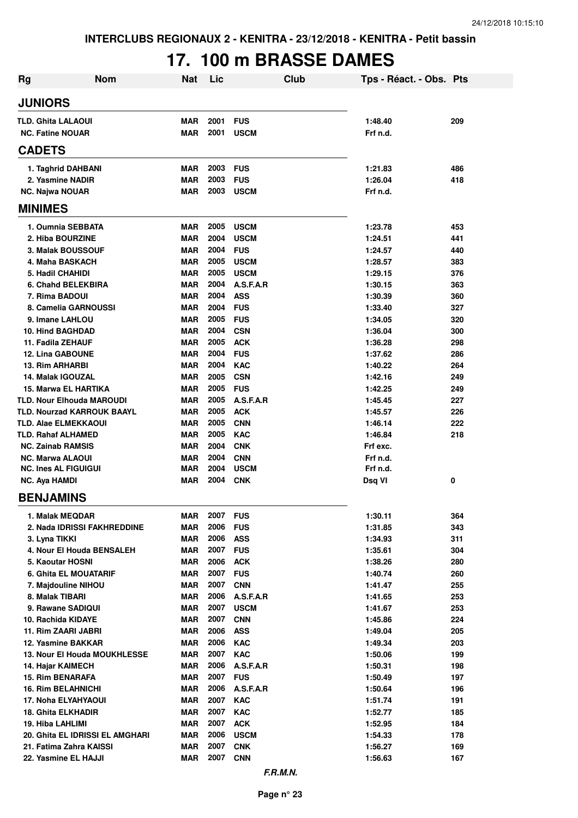# **17. 100 m BRASSE DAMES**

| <b>Rg</b>                                     | <b>Nom</b>                      | <b>Nat</b>               | Lic              |                          | Club | Tps - Réact. - Obs. Pts |            |
|-----------------------------------------------|---------------------------------|--------------------------|------------------|--------------------------|------|-------------------------|------------|
| <b>JUNIORS</b>                                |                                 |                          |                  |                          |      |                         |            |
| <b>TLD. Ghita LALAOUI</b>                     |                                 | <b>MAR</b>               | 2001             | <b>FUS</b>               |      | 1:48.40                 | 209        |
| <b>NC. Fatine NOUAR</b>                       |                                 | <b>MAR</b>               | 2001             | <b>USCM</b>              |      | Frf n.d.                |            |
| <b>CADETS</b>                                 |                                 |                          |                  |                          |      |                         |            |
| 1. Taghrid DAHBANI                            |                                 | MAR                      | 2003             | <b>FUS</b>               |      | 1:21.83                 | 486        |
| 2. Yasmine NADIR                              |                                 | <b>MAR</b>               | 2003             | <b>FUS</b>               |      | 1:26.04                 | 418        |
| <b>NC. Najwa NOUAR</b>                        |                                 | <b>MAR</b>               | 2003             | <b>USCM</b>              |      | Frf n.d.                |            |
| <b>MINIMES</b>                                |                                 |                          |                  |                          |      |                         |            |
| 1. Oumnia SEBBATA                             |                                 | <b>MAR</b>               | 2005             | <b>USCM</b>              |      | 1:23.78                 | 453        |
| 2. Hiba BOURZINE                              |                                 | <b>MAR</b>               | 2004             | <b>USCM</b>              |      | 1:24.51                 | 441        |
| 3. Malak BOUSSOUF                             |                                 | <b>MAR</b>               | 2004             | <b>FUS</b>               |      | 1:24.57                 | 440        |
| 4. Maha BASKACH                               |                                 | <b>MAR</b>               | 2005             | <b>USCM</b>              |      | 1:28.57                 | 383        |
| 5. Hadil CHAHIDI                              |                                 | <b>MAR</b>               | 2005             | <b>USCM</b>              |      | 1:29.15                 | 376        |
| 6. Chahd BELEKBIRA                            |                                 | <b>MAR</b>               | 2004             | A.S.F.A.R                |      | 1:30.15                 | 363        |
| 7. Rima BADOUI                                |                                 | <b>MAR</b>               | 2004             | <b>ASS</b>               |      | 1:30.39                 | 360        |
| 8. Camelia GARNOUSSI                          |                                 | <b>MAR</b>               | 2004             | <b>FUS</b>               |      | 1:33.40                 | 327        |
| 9. Imane LAHLOU                               |                                 | <b>MAR</b>               | 2005<br>2004     | <b>FUS</b>               |      | 1:34.05                 | 320        |
| <b>10. Hind BAGHDAD</b><br>11. Fadila ZEHAUF  |                                 | <b>MAR</b><br><b>MAR</b> | 2005             | <b>CSN</b><br><b>ACK</b> |      | 1:36.04<br>1:36.28      | 300<br>298 |
| <b>12. Lina GABOUNE</b>                       |                                 | <b>MAR</b>               | 2004             | <b>FUS</b>               |      | 1:37.62                 | 286        |
| <b>13. Rim ARHARBI</b>                        |                                 | <b>MAR</b>               | 2004             | <b>KAC</b>               |      | 1:40.22                 | 264        |
| <b>14. Malak IGOUZAL</b>                      |                                 | <b>MAR</b>               | 2005             | <b>CSN</b>               |      | 1:42.16                 | 249        |
| 15. Marwa EL HARTIKA                          |                                 | MAR                      | 2005             | <b>FUS</b>               |      | 1:42.25                 | 249        |
| <b>TLD. Nour Elhouda MAROUDI</b>              |                                 | <b>MAR</b>               | 2005             | A.S.F.A.R                |      | 1:45.45                 | 227        |
| <b>TLD. Nourzad KARROUK BAAYL</b>             |                                 | MAR                      | 2005             | <b>ACK</b>               |      | 1:45.57                 | 226        |
| <b>TLD. Alae ELMEKKAOUI</b>                   |                                 | MAR                      | 2005             | <b>CNN</b>               |      | 1:46.14                 | 222        |
| TLD. Rahaf ALHAMED                            |                                 | <b>MAR</b>               | 2005             | <b>KAC</b>               |      | 1:46.84                 | 218        |
| <b>NC. Zainab RAMSIS</b>                      |                                 | <b>MAR</b>               | 2004             | <b>CNK</b>               |      | Frf exc.                |            |
| <b>NC. Marwa ALAOUI</b>                       |                                 | <b>MAR</b>               | 2004             | <b>CNN</b>               |      | Frf n.d.                |            |
| <b>NC. Ines AL FIGUIGUI</b>                   |                                 | <b>MAR</b>               | 2004             | <b>USCM</b>              |      | Frf n.d.                |            |
| <b>NC. Aya HAMDI</b>                          |                                 | <b>MAR</b>               | 2004             | <b>CNK</b>               |      | Dsq VI                  | 0          |
| <b>BENJAMINS</b>                              |                                 |                          |                  |                          |      |                         |            |
| 1. Malak MEQDAR                               |                                 | MAR                      | 2007 FUS         |                          |      | 1:30.11                 | 364        |
|                                               | 2. Nada IDRISSI FAKHREDDINE     | <b>MAR</b>               | 2006             | <b>FUS</b>               |      | 1:31.85                 | 343        |
| 3. Lyna TIKKI                                 |                                 | MAR                      | 2006<br>2007 FUS | <b>ASS</b>               |      | 1:34.93                 | 311        |
| 4. Nour El Houda BENSALEH<br>5. Kaoutar HOSNI |                                 | <b>MAR</b><br><b>MAR</b> | 2006             | <b>ACK</b>               |      | 1:35.61<br>1:38.26      | 304<br>280 |
| 6. Ghita EL MOUATARIF                         |                                 | MAR                      | 2007             | <b>FUS</b>               |      | 1:40.74                 | 260        |
| 7. Majdouline NIHOU                           |                                 | <b>MAR</b>               | 2007             | <b>CNN</b>               |      | 1:41.47                 | 255        |
| 8. Malak TIBARI                               |                                 | <b>MAR</b>               | 2006             | A.S.F.A.R                |      | 1:41.65                 | 253        |
| 9. Rawane SADIQUI                             |                                 | <b>MAR</b>               | 2007             | <b>USCM</b>              |      | 1:41.67                 | 253        |
| 10. Rachida KIDAYE                            |                                 | <b>MAR</b>               | 2007             | <b>CNN</b>               |      | 1:45.86                 | 224        |
| 11. Rim ZAARI JABRI                           |                                 | <b>MAR</b>               | 2006             | <b>ASS</b>               |      | 1:49.04                 | 205        |
| 12. Yasmine BAKKAR                            |                                 | <b>MAR</b>               | 2006             | <b>KAC</b>               |      | 1:49.34                 | 203        |
|                                               | 13. Nour El Houda MOUKHLESSE    | <b>MAR</b>               | 2007             | <b>KAC</b>               |      | 1:50.06                 | 199        |
| 14. Hajar KAIMECH                             |                                 | <b>MAR</b>               | 2006             | A.S.F.A.R                |      | 1:50.31                 | 198        |
| <b>15. Rim BENARAFA</b>                       |                                 | <b>MAR</b>               | 2007             | <b>FUS</b>               |      | 1:50.49                 | 197        |
| <b>16. Rim BELAHNICHI</b>                     |                                 | MAR                      | 2006             | A.S.F.A.R                |      | 1:50.64                 | 196        |
| 17. Noha ELYAHYAOUI                           |                                 | <b>MAR</b>               | 2007             | <b>KAC</b>               |      | 1:51.74                 | 191        |
| <b>18. Ghita ELKHADIR</b>                     |                                 | <b>MAR</b>               | 2007             | <b>KAC</b>               |      | 1:52.77                 | 185        |
| 19. Hiba LAHLIMI                              |                                 | <b>MAR</b>               | 2007             | <b>ACK</b>               |      | 1:52.95                 | 184        |
|                                               | 20. Ghita EL IDRISSI EL AMGHARI | <b>MAR</b>               | 2006             | <b>USCM</b>              |      | 1:54.33                 | 178        |
| 21. Fatima Zahra KAISSI                       |                                 | <b>MAR</b>               | 2007             | <b>CNK</b>               |      | 1:56.27                 | 169        |
| 22. Yasmine EL HAJJI                          |                                 | <b>MAR</b>               | 2007             | <b>CNN</b>               |      | 1:56.63                 | 167        |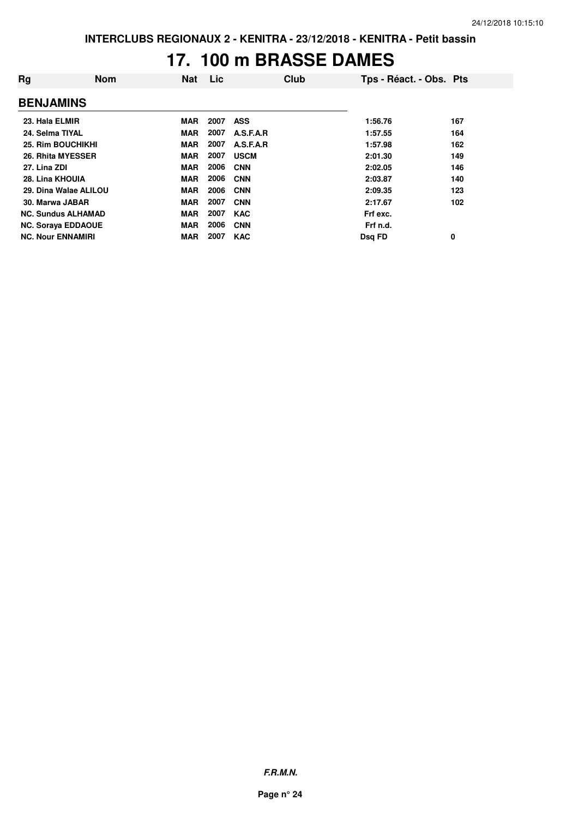#### **17. 100 m BRASSE DAMES**

| Rg                        | <b>Nom</b> | <b>Nat</b> | Lic  | Club        | Tps - Réact. - Obs. Pts |     |
|---------------------------|------------|------------|------|-------------|-------------------------|-----|
| <b>BENJAMINS</b>          |            |            |      |             |                         |     |
| 23. Hala ELMIR            |            | <b>MAR</b> | 2007 | <b>ASS</b>  | 1:56.76                 | 167 |
| 24. Selma TIYAL           |            | <b>MAR</b> | 2007 | A.S.F.A.R   | 1:57.55                 | 164 |
| 25. Rim BOUCHIKHI         |            | <b>MAR</b> | 2007 | A.S.F.A.R   | 1:57.98                 | 162 |
| 26. Rhita MYESSER         |            | <b>MAR</b> | 2007 | <b>USCM</b> | 2:01.30                 | 149 |
| 27. Lina ZDI              |            | <b>MAR</b> | 2006 | <b>CNN</b>  | 2:02.05                 | 146 |
| 28. Lina KHOUIA           |            | <b>MAR</b> | 2006 | <b>CNN</b>  | 2:03.87                 | 140 |
| 29. Dina Walae ALILOU     |            | <b>MAR</b> | 2006 | <b>CNN</b>  | 2:09.35                 | 123 |
| 30. Marwa JABAR           |            | <b>MAR</b> | 2007 | <b>CNN</b>  | 2:17.67                 | 102 |
| <b>NC. Sundus ALHAMAD</b> |            | <b>MAR</b> | 2007 | <b>KAC</b>  | Frf exc.                |     |
| <b>NC. Soraya EDDAOUE</b> |            | <b>MAR</b> | 2006 | <b>CNN</b>  | Frf n.d.                |     |
| <b>NC. Nour ENNAMIRI</b>  |            | <b>MAR</b> | 2007 | <b>KAC</b>  | Dsg FD                  | 0   |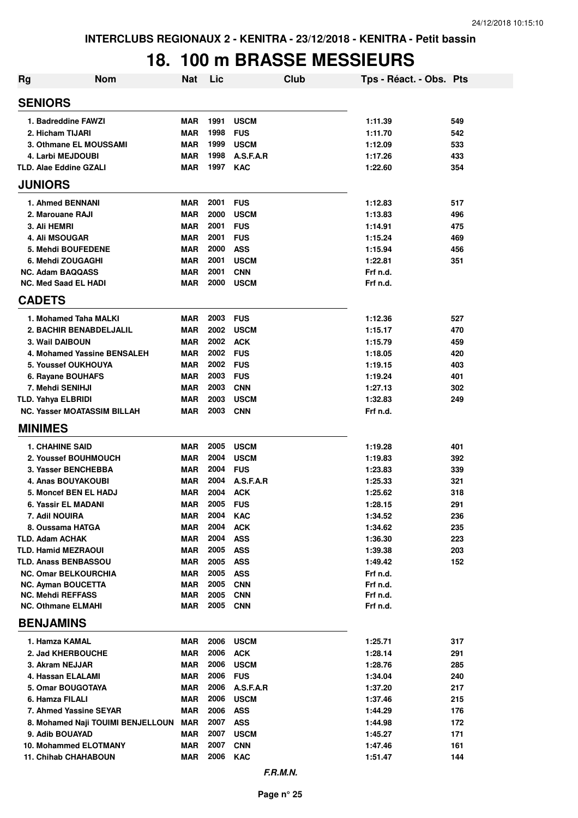#### **18. 100 m BRASSE MESSIEURS**

| <b>Rg</b>                                  | <b>Nom</b>                         | <b>Nat</b>               | Lic          | Club                     | Tps - Réact. - Obs. Pts |            |  |  |  |  |
|--------------------------------------------|------------------------------------|--------------------------|--------------|--------------------------|-------------------------|------------|--|--|--|--|
| <b>SENIORS</b>                             |                                    |                          |              |                          |                         |            |  |  |  |  |
| 1. Badreddine FAWZI                        |                                    | <b>MAR</b>               | 1991         | <b>USCM</b>              | 1:11.39                 | 549        |  |  |  |  |
| 2. Hicham TIJARI                           |                                    | <b>MAR</b>               | 1998         | <b>FUS</b>               | 1:11.70                 | 542        |  |  |  |  |
| 3. Othmane EL MOUSSAMI                     |                                    | <b>MAR</b>               | 1999         | <b>USCM</b>              | 1:12.09                 | 533        |  |  |  |  |
| 4. Larbi MEJDOUBI                          |                                    | <b>MAR</b>               | 1998         | A.S.F.A.R                | 1:17.26                 | 433        |  |  |  |  |
| <b>TLD. Alae Eddine GZALI</b>              |                                    | <b>MAR</b>               | 1997         | <b>KAC</b>               | 1:22.60                 | 354        |  |  |  |  |
| <b>JUNIORS</b>                             |                                    |                          |              |                          |                         |            |  |  |  |  |
| 1. Ahmed BENNANI                           |                                    | <b>MAR</b>               | 2001         | <b>FUS</b>               | 1:12.83                 | 517        |  |  |  |  |
| 2. Marouane RAJI                           |                                    | <b>MAR</b>               | 2000         | <b>USCM</b>              | 1:13.83                 | 496        |  |  |  |  |
| 3. Ali HEMRI                               |                                    | <b>MAR</b>               | 2001         | <b>FUS</b>               | 1:14.91                 | 475        |  |  |  |  |
| 4. Ali MSOUGAR                             |                                    | <b>MAR</b>               | 2001         | <b>FUS</b>               | 1:15.24                 | 469        |  |  |  |  |
| 5. Mehdi BOUFEDENE                         |                                    | <b>MAR</b>               | 2000         | <b>ASS</b>               | 1:15.94                 | 456        |  |  |  |  |
| 6. Mehdi ZOUGAGHI                          |                                    | <b>MAR</b>               | 2001         | <b>USCM</b>              | 1:22.81                 | 351        |  |  |  |  |
| <b>NC. Adam BAQQASS</b>                    |                                    | <b>MAR</b>               | 2001         | <b>CNN</b>               | Frf n.d.                |            |  |  |  |  |
| <b>NC. Med Saad EL HADI</b>                |                                    | <b>MAR</b>               | 2000         | <b>USCM</b>              | Frf n.d.                |            |  |  |  |  |
| <b>CADETS</b>                              |                                    |                          |              |                          |                         |            |  |  |  |  |
| 1. Mohamed Taha MALKI                      |                                    | <b>MAR</b>               | 2003         | <b>FUS</b>               | 1:12.36                 | 527        |  |  |  |  |
|                                            | 2. BACHIR BENABDELJALIL            | <b>MAR</b>               | 2002         | <b>USCM</b>              | 1:15.17                 | 470        |  |  |  |  |
| 3. Wail DAIBOUN                            |                                    | <b>MAR</b>               | 2002         | <b>ACK</b>               | 1:15.79                 | 459        |  |  |  |  |
|                                            | 4. Mohamed Yassine BENSALEH        | <b>MAR</b>               | 2002         | <b>FUS</b>               | 1:18.05                 | 420        |  |  |  |  |
| <b>5. Youssef OUKHOUYA</b>                 |                                    | <b>MAR</b>               | 2002         | <b>FUS</b>               | 1:19.15                 | 403        |  |  |  |  |
| 6. Rayane BOUHAFS                          |                                    | <b>MAR</b>               | 2003         | <b>FUS</b>               | 1:19.24                 | 401        |  |  |  |  |
| 7. Mehdi SENIHJI                           |                                    | <b>MAR</b>               | 2003         | <b>CNN</b>               | 1:27.13                 | 302        |  |  |  |  |
| <b>TLD. Yahya ELBRIDI</b>                  |                                    | <b>MAR</b>               | 2003<br>2003 | <b>USCM</b>              | 1:32.83                 | 249        |  |  |  |  |
|                                            | <b>NC. Yasser MOATASSIM BILLAH</b> | <b>MAR</b>               |              | <b>CNN</b>               | Frf n.d.                |            |  |  |  |  |
| <b>MINIMES</b>                             |                                    |                          |              |                          |                         |            |  |  |  |  |
| <b>1. CHAHINE SAID</b>                     |                                    | <b>MAR</b>               | 2005         | <b>USCM</b>              | 1:19.28                 | 401        |  |  |  |  |
| 2. Youssef BOUHMOUCH                       |                                    | <b>MAR</b>               | 2004         | <b>USCM</b>              | 1:19.83                 | 392        |  |  |  |  |
| 3. Yasser BENCHEBBA                        |                                    | <b>MAR</b>               | 2004         | <b>FUS</b>               | 1:23.83                 | 339        |  |  |  |  |
| 4. Anas BOUYAKOUBI                         |                                    | <b>MAR</b>               | 2004         | A.S.F.A.R                | 1:25.33                 | 321        |  |  |  |  |
| <b>5. Moncef BEN EL HADJ</b>               |                                    | <b>MAR</b>               | 2004         | <b>ACK</b>               | 1:25.62                 | 318        |  |  |  |  |
| 6. Yassir EL MADANI                        |                                    | <b>MAR</b>               | 2005         | <b>FUS</b>               | 1:28.15                 | 291        |  |  |  |  |
| 7. Adil NOUIRA                             |                                    | <b>MAR</b><br><b>MAR</b> | 2004<br>2004 | <b>KAC</b>               | 1:34.52                 | 236        |  |  |  |  |
| 8. Oussama HATGA<br><b>TLD. Adam ACHAK</b> |                                    | <b>MAR</b>               | 2004         | <b>ACK</b>               | 1:34.62                 | 235        |  |  |  |  |
| <b>TLD. Hamid MEZRAOUI</b>                 |                                    | <b>MAR</b>               | 2005         | <b>ASS</b><br><b>ASS</b> | 1:36.30<br>1:39.38      | 223<br>203 |  |  |  |  |
| <b>TLD. Anass BENBASSOU</b>                |                                    | <b>MAR</b>               | 2005         | <b>ASS</b>               | 1:49.42                 | 152        |  |  |  |  |
| <b>NC. Omar BELKOURCHIA</b>                |                                    | <b>MAR</b>               | 2005         | <b>ASS</b>               | Frf n.d.                |            |  |  |  |  |
| <b>NC. Ayman BOUCETTA</b>                  |                                    | <b>MAR</b>               | 2005         | <b>CNN</b>               | Frf n.d.                |            |  |  |  |  |
| <b>NC. Mehdi REFFASS</b>                   |                                    | <b>MAR</b>               | 2005         | <b>CNN</b>               | Frf n.d.                |            |  |  |  |  |
| <b>NC. Othmane ELMAHI</b>                  |                                    | <b>MAR</b>               | 2005         | <b>CNN</b>               | Frf n.d.                |            |  |  |  |  |
| <b>BENJAMINS</b>                           |                                    |                          |              |                          |                         |            |  |  |  |  |
| 1. Hamza KAMAL                             |                                    | <b>MAR</b>               | 2006         | <b>USCM</b>              | 1:25.71                 | 317        |  |  |  |  |
| 2. Jad KHERBOUCHE                          |                                    | <b>MAR</b>               | 2006         | <b>ACK</b>               | 1:28.14                 | 291        |  |  |  |  |
| 3. Akram NEJJAR                            |                                    | <b>MAR</b>               | 2006         | <b>USCM</b>              | 1:28.76                 | 285        |  |  |  |  |
| 4. Hassan ELALAMI                          |                                    | <b>MAR</b>               | 2006         | <b>FUS</b>               | 1:34.04                 | 240        |  |  |  |  |
| 5. Omar BOUGOTAYA                          |                                    | <b>MAR</b>               | 2006         | A.S.F.A.R                | 1:37.20                 | 217        |  |  |  |  |
| 6. Hamza FILALI                            |                                    | <b>MAR</b>               | 2006         | <b>USCM</b>              | 1:37.46                 | 215        |  |  |  |  |
| 7. Ahmed Yassine SEYAR                     |                                    | <b>MAR</b>               | 2006         | <b>ASS</b>               | 1:44.29                 | 176        |  |  |  |  |
|                                            | 8. Mohamed Naji TOUIMI BENJELLOUN  | <b>MAR</b>               | 2007         | <b>ASS</b>               | 1:44.98                 | 172        |  |  |  |  |
| 9. Adib BOUAYAD                            |                                    | <b>MAR</b>               | 2007         | <b>USCM</b>              | 1:45.27                 | 171        |  |  |  |  |
| <b>10. Mohammed ELOTMANY</b>               |                                    | <b>MAR</b>               | 2007         | <b>CNN</b>               | 1:47.46                 | 161        |  |  |  |  |
| <b>11. Chihab CHAHABOUN</b>                |                                    | <b>MAR</b>               | 2006         | <b>KAC</b>               | 1:51.47                 | 144        |  |  |  |  |